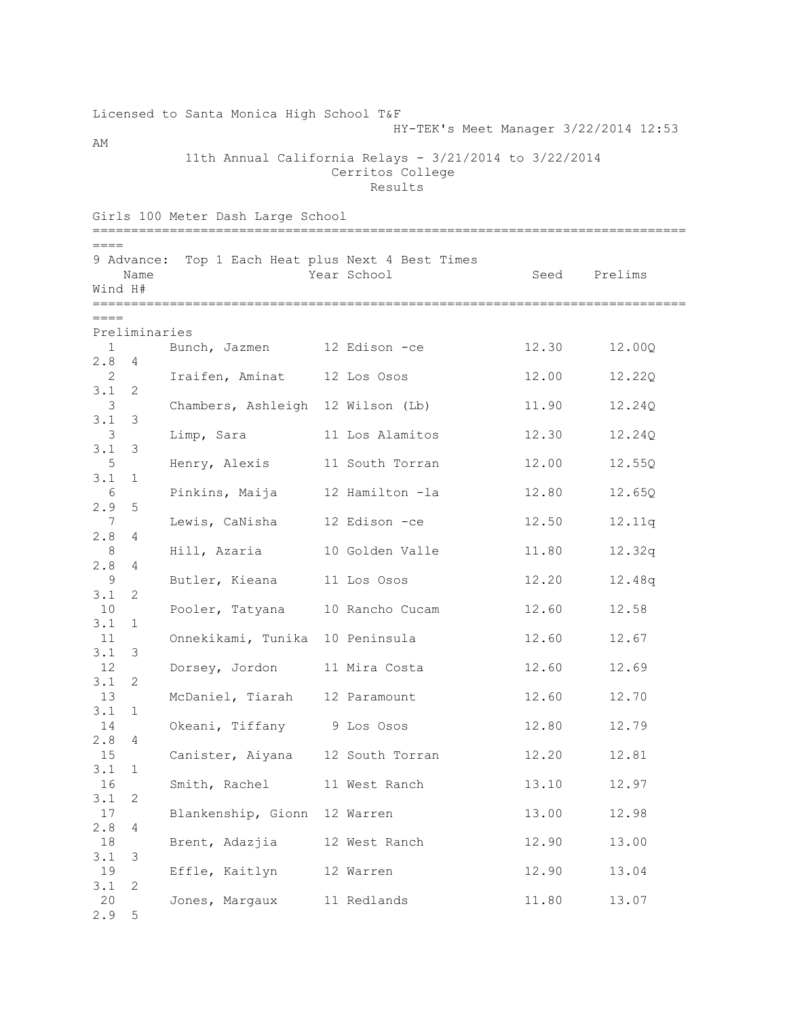## Licensed to Santa Monica High School T&F HY-TEK's Meet Manager 3/22/2014 12:53 AM

11th Annual California Relays -  $3/21/2014$  to  $3/22/2014$  Cerritos College Results

Girls 100 Meter Dash Large School ============================================================================= ==== 9 Advance: Top 1 Each Heat plus Next 4 Best Times Name The Year School Seed Prelims Wind H# =============================================================================  $----$ Preliminaries 1 Bunch, Jazmen 12 Edison -ce 12.30 12.00Q 2.8 4 2 Iraifen, Aminat 12 Los Osos 12.00 12.22Q 3.1 2 3 Chambers, Ashleigh 12 Wilson (Lb) 11.90 12.24Q 3.1 3 3 Limp, Sara 11 Los Alamitos 12.30 12.24Q 3.1 3 5 Henry, Alexis 11 South Torran 12.00 12.55Q 3.1 1 6 Pinkins, Maija 12 Hamilton -la 12.80 12.65Q 2.9 5 7 Lewis, CaNisha 12 Edison -ce 12.50 12.11q 2.8 4 8 Hill, Azaria 10 Golden Valle 11.80 12.32q 2.8 4 9 Butler, Kieana 11 Los Osos 12.20 12.48q 3.1 2 10 Pooler, Tatyana 10 Rancho Cucam 12.60 12.58 3.1 1 11 Onnekikami, Tunika 10 Peninsula 12.60 12.67 3.1 3 12 Dorsey, Jordon 11 Mira Costa 12.60 12.69 3.1 2 13 McDaniel, Tiarah 12 Paramount 12.60 12.70 3.1 1 14 Okeani, Tiffany 9 Los Osos 12.80 12.79 2.8 4 15 Canister, Aiyana 12 South Torran 12.20 12.81 3.1 1 16 Smith, Rachel 11 West Ranch 13.10 12.97 3.1 2 17 Blankenship, Gionn 12 Warren 13.00 12.98 2.8 4 18 Brent, Adazjia 12 West Ranch 12.90 13.00 3.1 3 19 Effle, Kaitlyn 12 Warren 12.90 13.04 3.1 2 20 Jones, Margaux 11 Redlands 11.80 13.07 2.9 5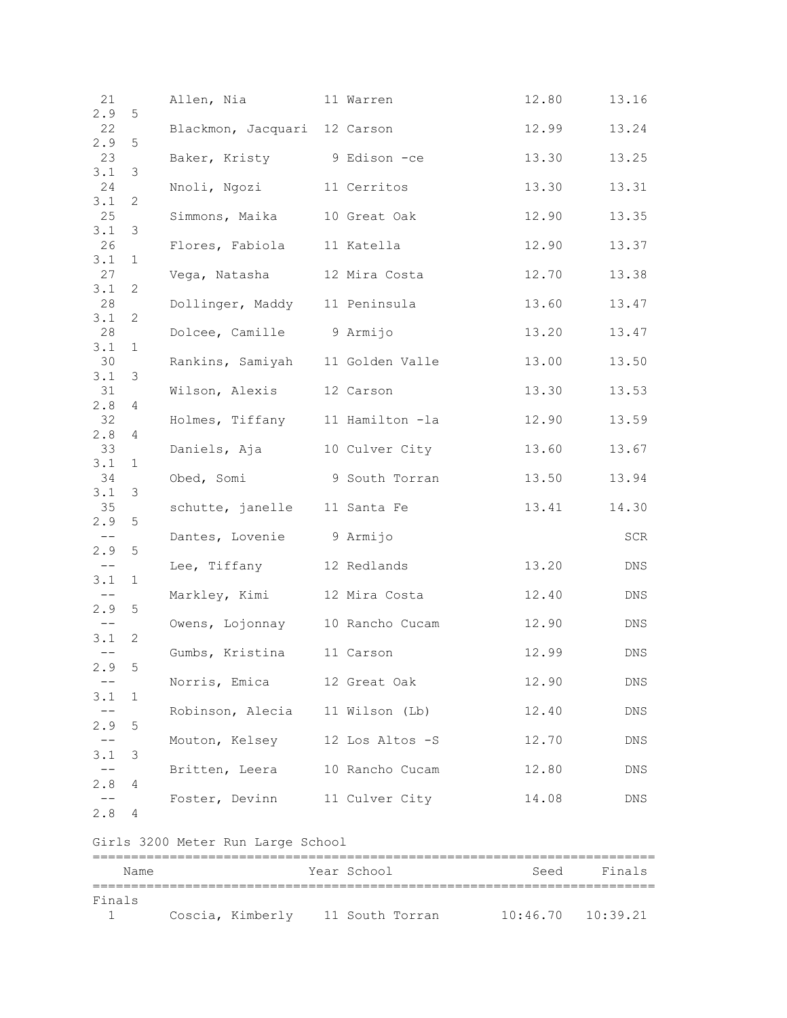| 21                 |                  | Allen, Nia                        | 11 Warren       | 12.80 | 13.16  |
|--------------------|------------------|-----------------------------------|-----------------|-------|--------|
| 2.9<br>22          | 5                | Blackmon, Jacquari 12 Carson      |                 | 12.99 | 13.24  |
| 2.9<br>23          | 5                | Baker, Kristy 9 Edison -ce        |                 | 13.30 | 13.25  |
| 3.1<br>24          | 3                | Nnoli, Ngozi 11 Cerritos          |                 | 13.30 | 13.31  |
| 3.1<br>25          | 2                | Simmons, Maika 10 Great Oak       |                 | 12.90 | 13.35  |
| 3.1<br>26          | 3                | Flores, Fabiola 11 Katella        |                 | 12.90 | 13.37  |
| 3.1<br>27          | 1                | Vega, Natasha                     | 12 Mira Costa   | 12.70 | 13.38  |
| 3.1<br>28          | 2                | Dollinger, Maddy 11 Peninsula     |                 | 13.60 | 13.47  |
| 3.1<br>28          | 2                | Dolcee, Camille 9 Armijo          |                 | 13.20 | 13.47  |
| 3.1<br>30          | 1                | Rankins, Samiyah 11 Golden Valle  |                 | 13.00 | 13.50  |
| 3.1<br>31          | 3                | Wilson, Alexis 12 Carson          |                 | 13.30 | 13.53  |
| 2.8<br>32          | 4                | Holmes, Tiffany 11 Hamilton -la   |                 | 12.90 | 13.59  |
| 2.8<br>33          | 4                | Daniels, Aja 10 Culver City       |                 | 13.60 | 13.67  |
| 3.1<br>34          | 1                | Obed, Somi                        | 9 South Torran  | 13.50 | 13.94  |
| 3.1<br>35          | 3                | schutte, janelle 11 Santa Fe      |                 | 13.41 | 14.30  |
| 2.9<br>$--$<br>2.9 | 5<br>$\mathsf S$ | Dantes, Lovenie 9 Armijo          |                 |       | SCR    |
| $--$<br>3.1        | $\mathbf{1}$     | Lee, Tiffany 12 Redlands          |                 | 13.20 | DNS    |
| $--$<br>2.9        | $\mathsf S$      | Markley, Kimi 12 Mira Costa       |                 | 12.40 | DNS    |
| 3.1                | 2                | Owens, Lojonnay 10 Rancho Cucam   |                 | 12.90 | DNS    |
| 2.9                | 5                | Gumbs, Kristina 11 Carson         |                 | 12.99 | DNS    |
| $ -$<br>3.1        | 1                | Norris, Emica                     | 12 Great Oak    | 12.90 | DNS    |
| 2.9                | 5                | Robinson, Alecia 11 Wilson (Lb)   |                 | 12.40 | DNS    |
| 3.1                | 3                | Mouton, Kelsey                    | 12 Los Altos -S | 12.70 | DNS    |
| 2.8                | 4                | Britten, Leera                    | 10 Rancho Cucam | 12.80 | DNS    |
| 2.8                | 4                | Foster, Devinn 11 Culver City     |                 | 14.08 | DNS    |
|                    |                  | Girls 3200 Meter Run Large School |                 |       |        |
|                    |                  |                                   |                 |       | ====== |
|                    | Name             |                                   | Year School     | Seed  | Finals |
| Finals             |                  |                                   |                 |       |        |

1 Coscia, Kimberly 11 South Torran 10:46.70 10:39.21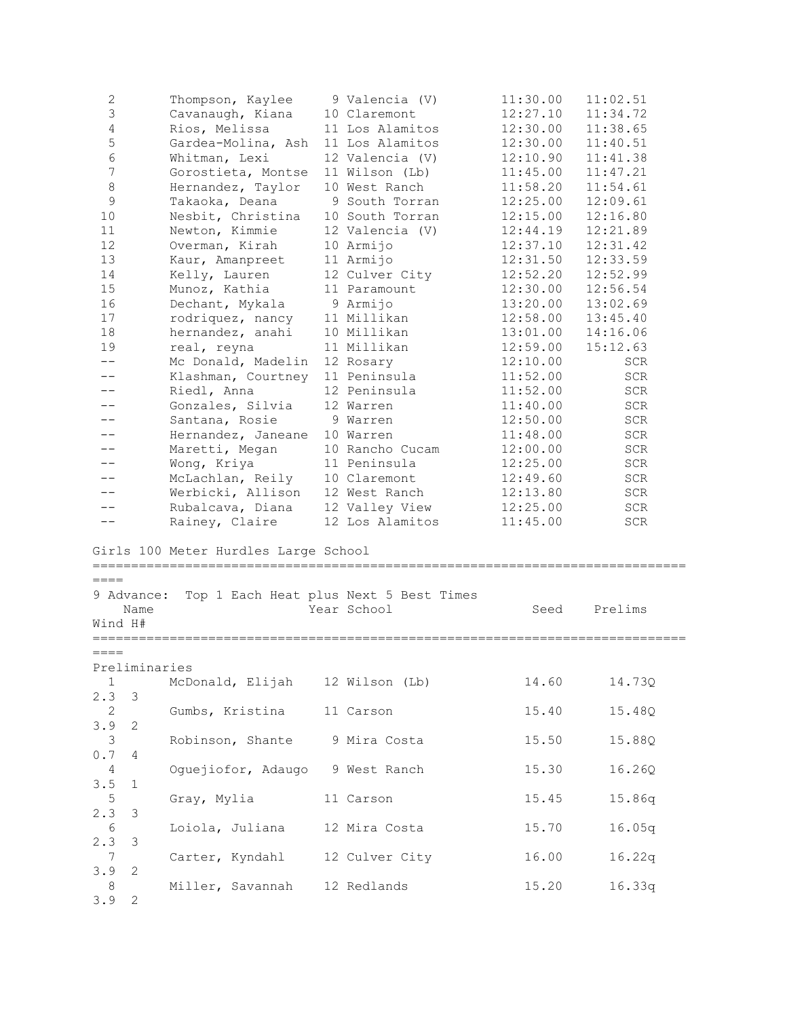| 2<br>3<br>$\overline{4}$<br>5<br>6<br>7<br>8<br>9<br>10<br>11<br>12<br>13<br>14<br>15<br>16<br>17 | Thompson, Kaylee<br>Cavanaugh, Kiana<br>Rios, Melissa<br>Gardea-Molina, Ash<br>Whitman, Lexi<br>Gorostieta, Montse<br>Hernandez, Taylor<br>Takaoka, Deana<br>Nesbit, Christina<br>Newton, Kimmie<br>Overman, Kirah<br>Kaur, Amanpreet<br>Kelly, Lauren<br>Munoz, Kathia<br>Dechant, Mykala | 9 Valencia (V)<br>10 Claremont<br>11 Los Alamitos<br>11 Los Alamitos<br>12 Valencia (V)<br>11 Wilson (Lb)<br>10 West Ranch<br>9 South Torran<br>10 South Torran<br>12 Valencia (V)<br>10 Armijo<br>11 Armijo<br>12 Culver City<br>11 Paramount<br>9 Armijo<br>11 Millikan | 11:30.00<br>12:27.10<br>12:30.00<br>12:30.00<br>12:10.90<br>11:45.00<br>11:58.20<br>12:25.00<br>12:15.00<br>12:44.19<br>12:37.10<br>12:31.50<br>12:52.20<br>12:30.00<br>13:20.00 | 11:02.51<br>11:34.72<br>11:38.65<br>11:40.51<br>11:41.38<br>11:47.21<br>11:54.61<br>12:09.61<br>12:16.80<br>12:21.89<br>12:31.42<br>12:33.59<br>12:52.99<br>12:56.54<br>13:02.69 |  |
|---------------------------------------------------------------------------------------------------|--------------------------------------------------------------------------------------------------------------------------------------------------------------------------------------------------------------------------------------------------------------------------------------------|---------------------------------------------------------------------------------------------------------------------------------------------------------------------------------------------------------------------------------------------------------------------------|----------------------------------------------------------------------------------------------------------------------------------------------------------------------------------|----------------------------------------------------------------------------------------------------------------------------------------------------------------------------------|--|
| 18                                                                                                | rodriquez, nancy<br>hernandez, anahi                                                                                                                                                                                                                                                       | 10 Millikan                                                                                                                                                                                                                                                               | 12:58.00<br>13:01.00                                                                                                                                                             | 13:45.40<br>14:16.06                                                                                                                                                             |  |
| 19                                                                                                | real, reyna                                                                                                                                                                                                                                                                                | 11 Millikan                                                                                                                                                                                                                                                               | 12:59.00                                                                                                                                                                         | 15:12.63                                                                                                                                                                         |  |
| $- -$                                                                                             | Mc Donald, Madelin                                                                                                                                                                                                                                                                         | 12 Rosary                                                                                                                                                                                                                                                                 | 12:10.00                                                                                                                                                                         | SCR                                                                                                                                                                              |  |
|                                                                                                   | Klashman, Courtney                                                                                                                                                                                                                                                                         | 11 Peninsula                                                                                                                                                                                                                                                              | 11:52.00                                                                                                                                                                         | <b>SCR</b>                                                                                                                                                                       |  |
|                                                                                                   | Riedl, Anna                                                                                                                                                                                                                                                                                | 12 Peninsula                                                                                                                                                                                                                                                              | 11:52.00                                                                                                                                                                         | SCR                                                                                                                                                                              |  |
|                                                                                                   | Gonzales, Silvia                                                                                                                                                                                                                                                                           | 12 Warren                                                                                                                                                                                                                                                                 | 11:40.00                                                                                                                                                                         | SCR                                                                                                                                                                              |  |
|                                                                                                   | Santana, Rosie                                                                                                                                                                                                                                                                             | 9 Warren                                                                                                                                                                                                                                                                  | 12:50.00                                                                                                                                                                         | SCR                                                                                                                                                                              |  |
|                                                                                                   | Hernandez, Janeane                                                                                                                                                                                                                                                                         | 10 Warren                                                                                                                                                                                                                                                                 | 11:48.00                                                                                                                                                                         | SCR                                                                                                                                                                              |  |
|                                                                                                   | Maretti, Megan<br>Wong, Kriya                                                                                                                                                                                                                                                              | 10 Rancho Cucam<br>11 Peninsula                                                                                                                                                                                                                                           | 12:00.00<br>12:25.00                                                                                                                                                             | <b>SCR</b><br>SCR                                                                                                                                                                |  |
|                                                                                                   | McLachlan, Reily                                                                                                                                                                                                                                                                           | 10 Claremont                                                                                                                                                                                                                                                              | 12:49.60                                                                                                                                                                         | SCR                                                                                                                                                                              |  |
|                                                                                                   | Werbicki, Allison                                                                                                                                                                                                                                                                          | 12 West Ranch                                                                                                                                                                                                                                                             | 12:13.80                                                                                                                                                                         | SCR                                                                                                                                                                              |  |
|                                                                                                   | Rubalcava, Diana                                                                                                                                                                                                                                                                           | 12 Valley View                                                                                                                                                                                                                                                            | 12:25.00                                                                                                                                                                         | SCR                                                                                                                                                                              |  |
| $ -$                                                                                              | Rainey, Claire                                                                                                                                                                                                                                                                             | 12 Los Alamitos                                                                                                                                                                                                                                                           | 11:45.00                                                                                                                                                                         | SCR                                                                                                                                                                              |  |
| $====$<br>9 Advance:                                                                              | Girls 100 Meter Hurdles Large School                                                                                                                                                                                                                                                       | Top 1 Each Heat plus Next 5 Best Times                                                                                                                                                                                                                                    |                                                                                                                                                                                  |                                                                                                                                                                                  |  |
| Name                                                                                              |                                                                                                                                                                                                                                                                                            | Year School                                                                                                                                                                                                                                                               | Seed                                                                                                                                                                             | Prelims                                                                                                                                                                          |  |
| Wind H#                                                                                           |                                                                                                                                                                                                                                                                                            |                                                                                                                                                                                                                                                                           |                                                                                                                                                                                  |                                                                                                                                                                                  |  |
| $====$<br>Preliminaries                                                                           |                                                                                                                                                                                                                                                                                            |                                                                                                                                                                                                                                                                           |                                                                                                                                                                                  |                                                                                                                                                                                  |  |
| $\mathbf{1}$<br>2.3<br>3                                                                          | McDonald, Elijah 12 Wilson (Lb)                                                                                                                                                                                                                                                            |                                                                                                                                                                                                                                                                           | 14.60                                                                                                                                                                            | 14.73Q                                                                                                                                                                           |  |
| 2                                                                                                 | Gumbs, Kristina                                                                                                                                                                                                                                                                            | 11 Carson                                                                                                                                                                                                                                                                 | 15.40                                                                                                                                                                            | 15.48Q                                                                                                                                                                           |  |
| 3.9<br>2                                                                                          |                                                                                                                                                                                                                                                                                            |                                                                                                                                                                                                                                                                           |                                                                                                                                                                                  |                                                                                                                                                                                  |  |
| 3                                                                                                 | Robinson, Shante 9 Mira Costa                                                                                                                                                                                                                                                              |                                                                                                                                                                                                                                                                           | 15.50                                                                                                                                                                            | 15.88Q                                                                                                                                                                           |  |
| 0.7<br>4                                                                                          |                                                                                                                                                                                                                                                                                            |                                                                                                                                                                                                                                                                           |                                                                                                                                                                                  |                                                                                                                                                                                  |  |
| 4                                                                                                 | Oguejiofor, Adaugo 9 West Ranch                                                                                                                                                                                                                                                            |                                                                                                                                                                                                                                                                           | 15.30                                                                                                                                                                            | 16.26Q                                                                                                                                                                           |  |
| 3.5<br>$\perp$                                                                                    |                                                                                                                                                                                                                                                                                            |                                                                                                                                                                                                                                                                           |                                                                                                                                                                                  |                                                                                                                                                                                  |  |
| $5\phantom{.0}$                                                                                   | Gray, Mylia                                                                                                                                                                                                                                                                                | 11 Carson                                                                                                                                                                                                                                                                 | 15.45                                                                                                                                                                            | 15.86q                                                                                                                                                                           |  |
| 2.3<br>3                                                                                          |                                                                                                                                                                                                                                                                                            |                                                                                                                                                                                                                                                                           |                                                                                                                                                                                  |                                                                                                                                                                                  |  |
| 6<br>2.3<br>3                                                                                     | Loiola, Juliana                                                                                                                                                                                                                                                                            | 12 Mira Costa                                                                                                                                                                                                                                                             | 15.70                                                                                                                                                                            | 16.05q                                                                                                                                                                           |  |
| 7                                                                                                 | Carter, Kyndahl 12 Culver City                                                                                                                                                                                                                                                             |                                                                                                                                                                                                                                                                           | 16.00                                                                                                                                                                            | 16.22q                                                                                                                                                                           |  |
| 3.9<br>2                                                                                          |                                                                                                                                                                                                                                                                                            |                                                                                                                                                                                                                                                                           |                                                                                                                                                                                  |                                                                                                                                                                                  |  |
| 8                                                                                                 | Miller, Savannah 12 Redlands                                                                                                                                                                                                                                                               |                                                                                                                                                                                                                                                                           | 15.20                                                                                                                                                                            | 16.33q                                                                                                                                                                           |  |
| 3.9<br>2                                                                                          |                                                                                                                                                                                                                                                                                            |                                                                                                                                                                                                                                                                           |                                                                                                                                                                                  |                                                                                                                                                                                  |  |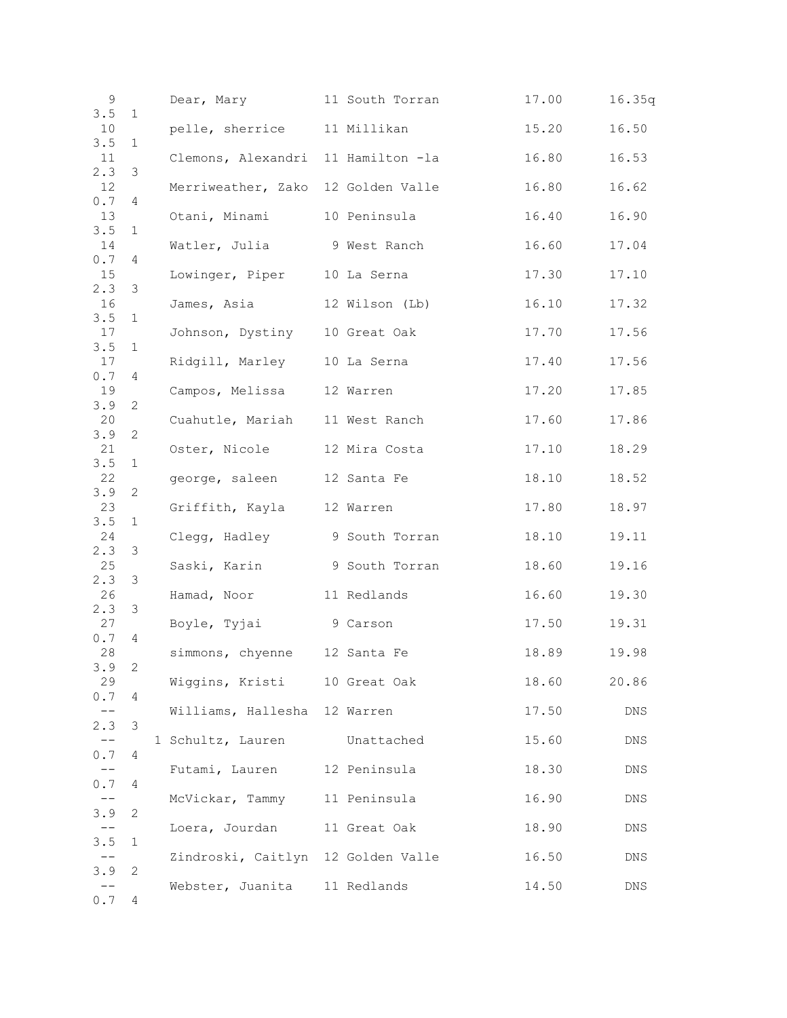| 9             |              | Dear, Mary                         | 11 South Torran | 17.00 | 16.35q |
|---------------|--------------|------------------------------------|-----------------|-------|--------|
| 3.5<br>10     | $\mathbf{1}$ | pelle, sherrice 11 Millikan        |                 | 15.20 | 16.50  |
| 3.5           | 1            |                                    |                 |       |        |
| 11            |              | Clemons, Alexandri 11 Hamilton -la |                 | 16.80 | 16.53  |
| 2.3<br>12     | 3            | Merriweather, Zako 12 Golden Valle |                 | 16.80 | 16.62  |
| 0.7           | 4            | Otani, Minami                      | 10 Peninsula    |       |        |
| 13<br>3.5     | 1            |                                    |                 | 16.40 | 16.90  |
| 14            |              | Watler, Julia 9 West Ranch         |                 | 16.60 | 17.04  |
| 0.7<br>15     | 4            | Lowinger, Piper                    | 10 La Serna     | 17.30 | 17.10  |
| 2.3           | 3            |                                    |                 |       |        |
| 16<br>3.5     | $\mathbf{1}$ | James, Asia                        | 12 Wilson (Lb)  | 16.10 | 17.32  |
| 17            |              | Johnson, Dystiny 10 Great Oak      |                 | 17.70 | 17.56  |
| 3.5           | 1            |                                    |                 |       |        |
| 17<br>$0.7\,$ | 4            | Ridgill, Marley 10 La Serna        |                 | 17.40 | 17.56  |
| 19            |              | Campos, Melissa                    | 12 Warren       | 17.20 | 17.85  |
| 3.9<br>20     | $\mathbf{2}$ | Cuahutle, Mariah                   | 11 West Ranch   | 17.60 | 17.86  |
| 3.9           | 2            |                                    |                 |       |        |
| 21            |              | Oster, Nicole                      | 12 Mira Costa   | 17.10 | 18.29  |
| 3.5<br>22     | 1            | george, saleen                     |                 | 18.10 | 18.52  |
| 3.9           | 2            |                                    | 12 Santa Fe     |       |        |
| 23            |              | Griffith, Kayla 12 Warren          |                 | 17.80 | 18.97  |
| 3.5<br>24     | $\mathbf{1}$ | Clegg, Hadley 9 South Torran       |                 | 18.10 | 19.11  |
| 2.3<br>25     | 3            | Saski, Karin                       | 9 South Torran  | 18.60 | 19.16  |
| 2.3           | 3            |                                    |                 |       |        |
| 26            |              | Hamad, Noor                        | 11 Redlands     | 16.60 | 19.30  |
| 2.3<br>27     | 3            | Boyle, Tyjai                       | 9 Carson        | 17.50 | 19.31  |
| 0.7           | 4            |                                    |                 |       |        |
| 28<br>3.9     | $\mathbf{2}$ | simmons, chyenne 12 Santa Fe       |                 | 18.89 | 19.98  |
| 29            |              | Wiggins, Kristi 10 Great Oak       |                 | 18.60 | 20.86  |
| 0.7           | 4            |                                    |                 |       |        |
| 2.3           | 3            | Williams, Hallesha 12 Warren       |                 | 17.50 | DNS    |
|               |              | 1 Schultz, Lauren                  | Unattached      | 15.60 | DNS    |
| 0.7           | 4            | Futami, Lauren 12 Peninsula        |                 | 18.30 | DNS    |
| 0.7           | 4            |                                    |                 |       |        |
|               |              | McVickar, Tammy 11 Peninsula       |                 | 16.90 | DNS    |
| 3.9           | 2            |                                    |                 |       |        |
| 3.5           | $\mathbf{1}$ | Loera, Jourdan 11 Great Oak        |                 | 18.90 | DNS    |
|               |              | Zindroski, Caitlyn 12 Golden Valle |                 | 16.50 | DNS    |
| 3.9           | 2            |                                    |                 |       |        |
| 0.7           | 4            | Webster, Juanita 11 Redlands       |                 | 14.50 | DNS    |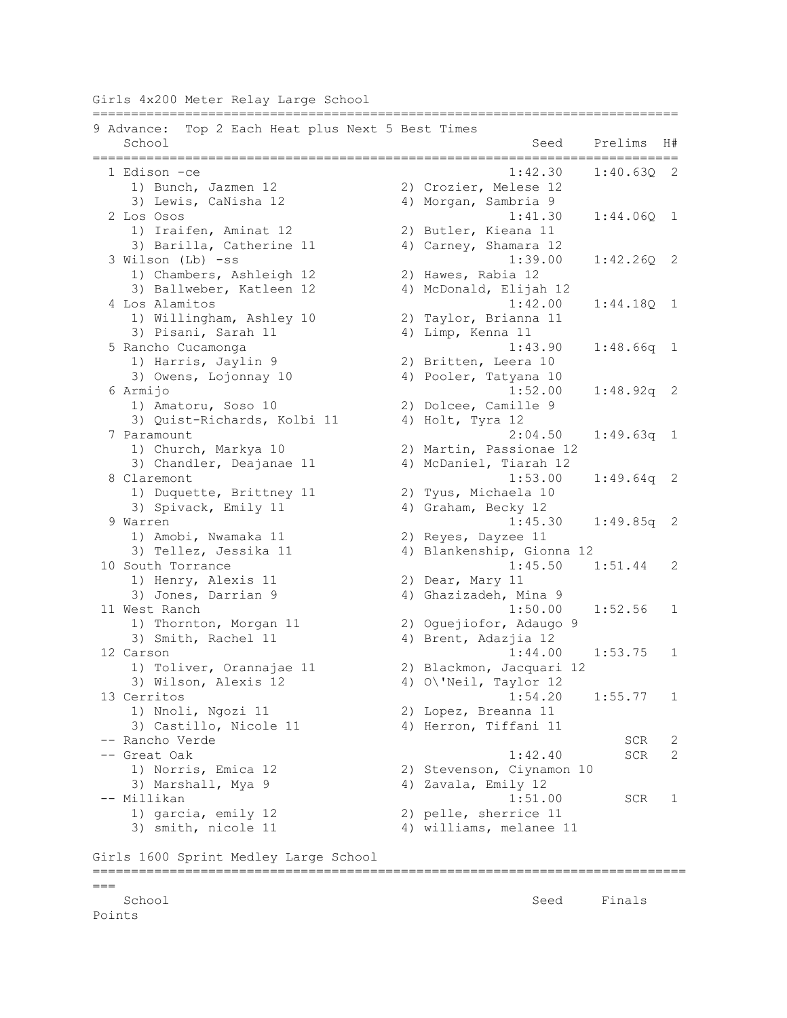Girls 4x200 Meter Relay Large School

|        | Top 2 Each Heat plus Next 5 Best Times<br>9 Advance: |                                             |              |
|--------|------------------------------------------------------|---------------------------------------------|--------------|
|        | School                                               | Seed<br>Prelims<br>======================== | H#           |
|        | 1 Edison -ce                                         | 1:42.30<br>1:40.630 2                       |              |
|        | 1) Bunch, Jazmen 12                                  | 2) Crozier, Melese 12                       |              |
|        | 3) Lewis, CaNisha 12                                 | 4) Morgan, Sambria 9                        |              |
|        | 2 Los Osos                                           | 1:41.30<br>$1:44.06Q$ 1                     |              |
|        | 1) Iraifen, Aminat 12                                | 2) Butler, Kieana 11                        |              |
|        | 3) Barilla, Catherine 11                             | 4) Carney, Shamara 12                       |              |
|        | 3 Wilson (Lb) -ss                                    | 1:39.00<br>1:42.26Q                         | 2            |
|        | 1) Chambers, Ashleigh 12                             | 2) Hawes, Rabia 12                          |              |
|        | 3) Ballweber, Katleen 12                             | 4) McDonald, Elijah 12                      |              |
|        | 4 Los Alamitos                                       | 1:42.00<br>1:44.18Q                         | 1            |
|        | 1) Willingham, Ashley 10                             | 2) Taylor, Brianna 11                       |              |
|        | 3) Pisani, Sarah 11                                  | 4) Limp, Kenna 11                           |              |
|        | 5 Rancho Cucamonga                                   | 1:43.90<br>$1:48.66q$ 1                     |              |
|        | 1) Harris, Jaylin 9                                  | 2) Britten, Leera 10                        |              |
|        | 3) Owens, Lojonnay 10                                | 4) Pooler, Tatyana 10                       |              |
|        | 6 Armijo                                             | 1:52.00<br>$1:48.92q$ 2                     |              |
|        | 1) Amatoru, Soso 10                                  | 2) Dolcee, Camille 9                        |              |
|        | 3) Quist-Richards, Kolbi 11                          | 4) Holt, Tyra 12                            |              |
|        | 7 Paramount                                          | 1:49.63q<br>2:04.50                         | $\mathbf{1}$ |
|        | 1) Church, Markya 10                                 | 2) Martin, Passionae 12                     |              |
|        | 3) Chandler, Deajanae 11                             | 4) McDaniel, Tiarah 12                      |              |
|        | 8 Claremont                                          | 1:53.00<br>$1:49.64q$ 2                     |              |
|        | 1) Duquette, Brittney 11                             | 2) Tyus, Michaela 10                        |              |
|        | 3) Spivack, Emily 11                                 | 4) Graham, Becky 12                         |              |
|        | 9 Warren                                             | 1:45.30<br>1:49.85q                         | 2            |
|        | 1) Amobi, Nwamaka 11                                 | 2) Reyes, Dayzee 11                         |              |
|        | 3) Tellez, Jessika 11                                | 4) Blankenship, Gionna 12                   |              |
|        | 10 South Torrance                                    | 1:45.50<br>1:51.44                          | 2            |
|        | 1) Henry, Alexis 11                                  | 2) Dear, Mary 11                            |              |
|        | 3) Jones, Darrian 9                                  | 4) Ghazizadeh, Mina 9<br>1:50.00            |              |
|        | 11 West Ranch                                        | 1:52.56                                     | $\mathbf{1}$ |
|        | 1) Thornton, Morgan 11                               | 2) Oguejiofor, Adaugo 9                     |              |
|        | 3) Smith, Rachel 11                                  | 4) Brent, Adazjia 12                        |              |
|        | 12 Carson                                            | 1:44.00<br>1:53.75                          | $\mathbf{1}$ |
|        | 1) Toliver, Orannajae 11                             | 2) Blackmon, Jacquari 12                    |              |
|        | 3) Wilson, Alexis 12<br>13 Cerritos                  | 4) O\'Neil, Taylor 12<br>1:54.20            |              |
|        | 1) Nnoli, Ngozi 11                                   | 1:55.77<br>2) Lopez, Breanna 11             | $\mathbf{1}$ |
|        | 3) Castillo, Nicole 11                               | 4) Herron, Tiffani 11                       |              |
|        | -- Rancho Verde                                      | SCR                                         | 2            |
|        | -- Great Oak                                         | 1:42.40<br>SCR                              | 2            |
|        | 1) Norris, Emica 12                                  | 2) Stevenson, Ciynamon 10                   |              |
|        | 3) Marshall, Mya 9                                   | 4) Zavala, Emily 12                         |              |
|        | -- Millikan                                          | 1:51.00<br>SCR                              | 1            |
|        | 1) garcia, emily 12                                  | 2) pelle, sherrice 11                       |              |
|        | 3) smith, nicole 11                                  | 4) williams, melanee 11                     |              |
|        | Girls 1600 Sprint Medley Large School                |                                             |              |
|        |                                                      |                                             |              |
| $===$  |                                                      |                                             |              |
|        | School                                               | Seed<br>Finals                              |              |
| Points |                                                      |                                             |              |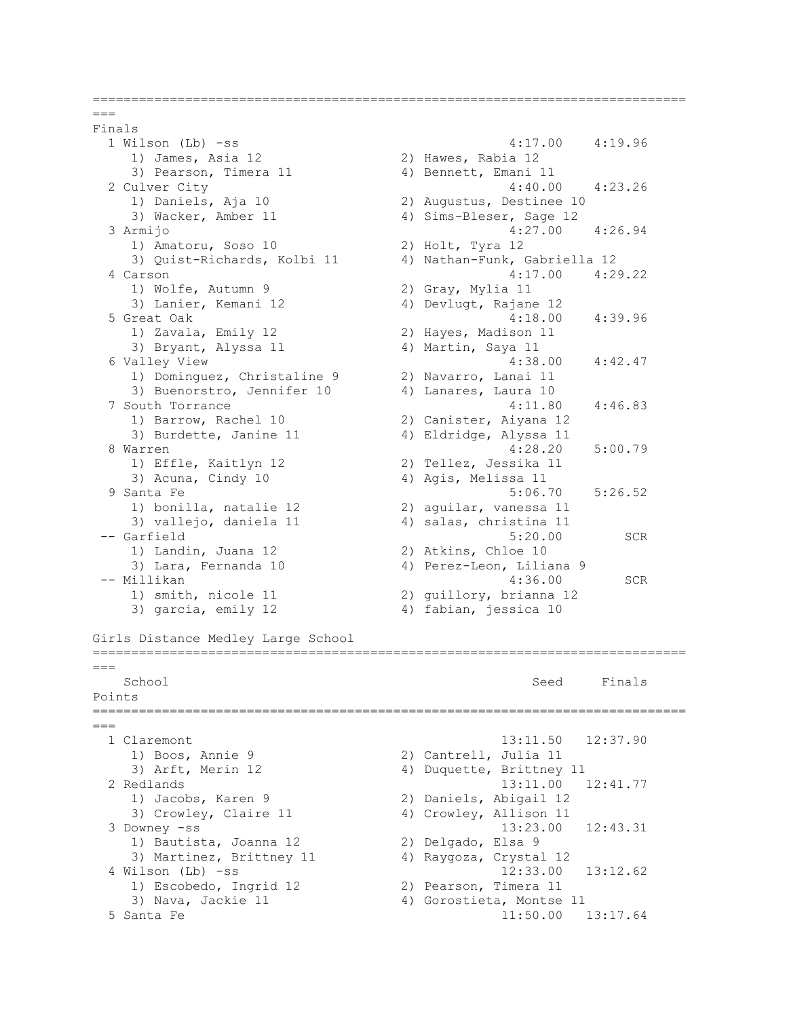```
=============================================================================
=Finals
  1 Wilson (Lb) -ss 4:17.00 4:19.96 
   1) James, Asia 12 2) Hawes, Rabia 12 
   3) Pearson, Timera 11 4) Bennett, Emani 11
  2 Culver City 4:40.00 4:23.26 
   1) Daniels, Aja 10 2) Augustus, Destinee 10<br>3) Wacker, Amber 11 4) Sims-Bleser, Sage 12
                          4) Sims-Bleser, Sage 12
  3 Armijo 4:27.00 4:26.94 
    1) Amatoru, Soso 10 2) Holt, Tyra 12 
    3) Quist-Richards, Kolbi 11 4) Nathan-Funk, Gabriella 12 
  4 Carson 4:17.00 4:29.22 
1) Wolfe, Autumn 9 2) Gray, Mylia 11
 3) Lanier, Kemani 12 4) Devlugt, Rajane 12 
 5 Great Oak 4:18.00 4:39.96 
 1) Zavala, Emily 12 2) Hayes, Madison 11 
3) Bryant, Alyssa 11 (4) Martin, Saya 11
  6 Valley View 4:38.00 4:42.47 
    1) Dominguez, Christaline 9 2) Navarro, Lanai 11 
   3) Buenorstro, Jennifer 10 4) Lanares, Laura 10
 7 South Torrance 4:11.80 4:46.83 
 1) Barrow, Rachel 10 2) Canister, Aiyana 12 
3) Burdette, Janine 11 4) Eldridge, Alyssa 11
 8 Warren 4:28.20 5:00.79 
   1) Effle, Kaitlyn 12 2) Tellez, Jessika 11 
   3) Acuna, Cindy 10 4) Agis, Melissa 11
 9 Santa Fe 5:06.70 5:26.52
 1) bonilla, natalie 12 2) aguilar, vanessa 11 
3) vallejo, daniela 11 4) salas, christina 11
-- Garfield 5:20.00 SCR 
1) Landin, Juana 12 2) Atkins, Chloe 10
 3) Lara, Fernanda 10 4) Perez-Leon, Liliana 9 
-- Millikan 4:36.00 SCR<br>1) smith, nicole 11 2) guillory, brianna 12
                         2) guillory, brianna 12
   3) garcia, emily 12 (4) fabian, jessica 10
Girls Distance Medley Large School
=============================================================================
= School Seed Finals 
Points
=============================================================================
= 1 Claremont 13:11.50 12:37.90 
   1) Boos, Annie 9 2) Cantrell, Julia 11 
   3) Arft, Merin 12 4) Duquette, Brittney 11
  2 Redlands 13:11.00 12:41.77 
    1) Jacobs, Karen 9 2) Daniels, Abigail 12 
   3) Crowley, Claire 11 4) Crowley, Allison 11
  3 Downey -ss 13:23.00 12:43.31 
    1) Bautista, Joanna 12 2) Delgado, Elsa 9 
    3) Martinez, Brittney 11 4) Raygoza, Crystal 12 
  4 Wilson (Lb) -ss 12:33.00 13:12.62 
 1) Escobedo, Ingrid 12 2) Pearson, Timera 11 
 3) Nava, Jackie 11 4) Gorostieta, Montse 11 
  5 Santa Fe 11:50.00 13:17.64
```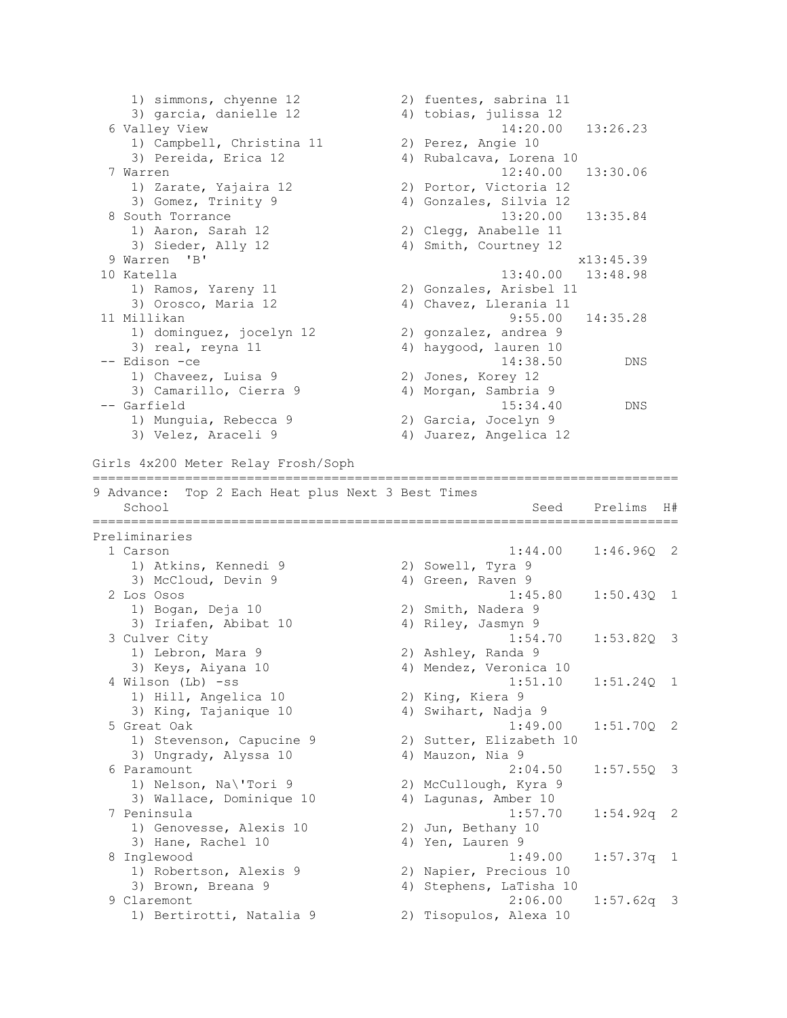1) simmons, chyenne 12 2) fuentes, sabrina 11 3) garcia, danielle 12 4) tobias, julissa 12 6 Valley View 14:20.00 13:26.23 1) Campbell, Christina 11 2) Perez, Angie 10 3) Pereida, Erica 12 (4) Rubalcava, Lorena 10 7 Warren 12:40.00 13:30.06 1) Zarate, Yajaira 12 2) Portor, Victoria 12 3) Gomez, Trinity 9 4) Gonzales, Silvia 12 8 South Torrance 13:20.00 13:35.84 1) Aaron, Sarah 12 2) Clegg, Anabelle 11 3) Sieder, Ally 12 4) Smith, Courtney 12 9 Warren 'B' x13:45.39 10 Katella 13:40.00 13:48.98 1) Ramos, Yareny 11 2) Gonzales, Arisbel 11 3) Orosco, Maria 12 4) Chavez, Llerania 11 11 Millikan 9:55.00 14:35.28 1) dominguez, jocelyn 12 2) gonzalez, andrea 9 3) real, reyna 11 4) haygood, lauren 10 -- Edison -ce 14:38.50 DNS 1) Chaveez, Luisa 9 2) Jones, Korey 12 3) Camarillo, Cierra 9 4) Morgan, Sambria 9 -- Garfield 15:34.40 DNS 1) Munguia, Rebecca 9 2) Garcia, Jocelyn 9 3) Velez, Araceli 9 4) Juarez, Angelica 12 Girls 4x200 Meter Relay Frosh/Soph ============================================================================ 9 Advance: Top 2 Each Heat plus Next 3 Best Times School Seed Prelims H# ============================================================================ Preliminaries 1 Carson 1:44.00 1:46.96Q 2 1) Atkins, Kennedi 9 2) Sowell, Tyra 9 3) McCloud, Devin 9 4) Green, Raven 9 2 Los Osos 1:45.80 1:50.43Q 1 1) Bogan, Deja 10 2) Smith, Nadera 9 3) Iriafen, Abibat 10 (4) Riley, Jasmyn 9 3 Culver City 1:54.70 1:53.82Q 3 1) Lebron, Mara 9 2) Ashley, Randa 9 3) Keys, Aiyana 10 4) Mendez, Veronica 10 4 Wilson (Lb) -ss 1:51.10 1:51.24Q 1 1) Hill, Angelica 10 2) King, Kiera 9 3) King, Tajanique 10 4) Swihart, Nadja 9 5 Great Oak 1:49.00 1:51.70Q 2 1) Stevenson, Capucine 9 2) Sutter, Elizabeth 10 3) Ungrady, Alyssa 10 (4) Mauzon, Nia 9 6 Paramount 2:04.50 1:57.55Q 3 1) Nelson, Na\'Tori 9 2) McCullough, Kyra 9 3) Wallace, Dominique 10 4) Lagunas, Amber 10 7 Peninsula 1:57.70 1:54.92q 2 1) Genovesse, Alexis 10 2) Jun, Bethany 10 3) Hane, Rachel 10 4) Yen, Lauren 9 8 Inglewood 1:49.00 1:57.37q 1 1) Robertson, Alexis 9 2) Napier, Precious 10 3) Brown, Breana 9 4) Stephens, LaTisha 10 9 Claremont 2:06.00 1:57.62q 3 1) Bertirotti, Natalia 9 2) Tisopulos, Alexa 10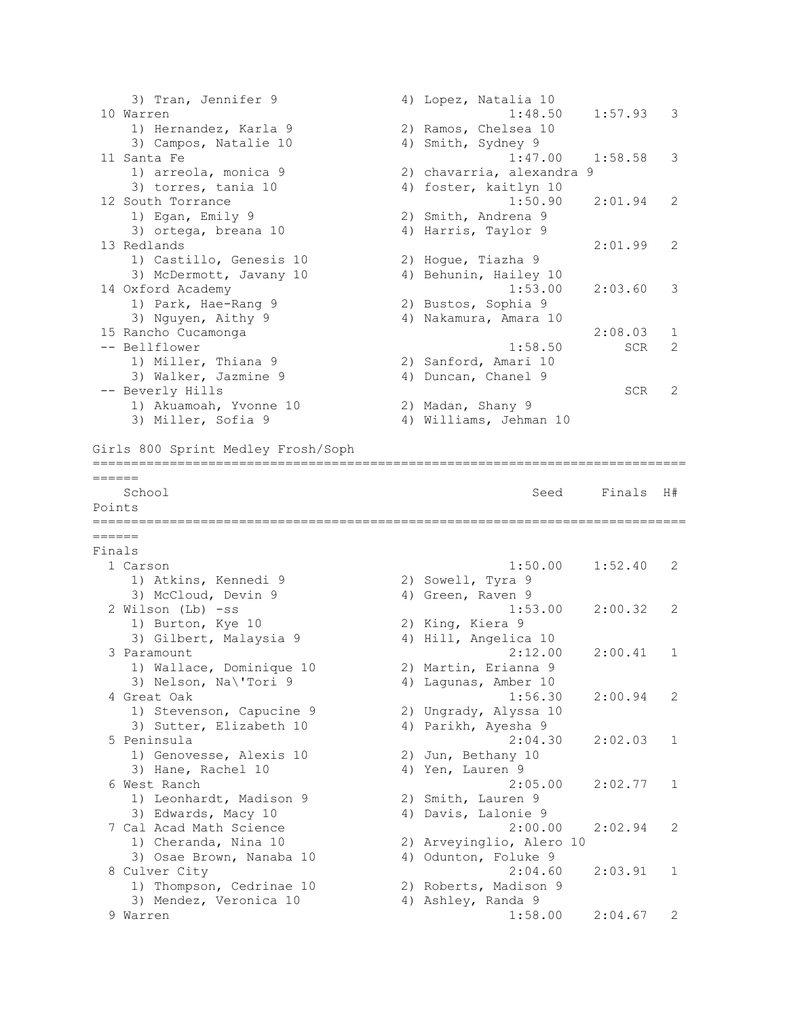3) Tran, Jennifer 9 (4) Lopez, Natalia 10 10 Warren 1:48.50 1:57.93 3 1) Hernandez, Karla 9 2) Ramos, Chelsea 10 3) Campos, Natalie 10 4) Smith, Sydney 9 11 Santa Fe 1:47.00 1:58.58 3 1) arreola, monica 9 2) chavarria, alexandra 9 3) torres, tania 10 4) foster, kaitlyn 10 12 South Torrance 1:50.90 2:01.94 2 1) Egan, Emily 9 2) Smith, Andrena 9 3) ortega, breana 10  $\hskip1cm$  4) Harris, Taylor 9 13 Redlands 2:01.99 2 1) Castillo, Genesis 10 2) Hogue, Tiazha 9 3) McDermott, Javany 10 4) Behunin, Hailey 10 1) Castillo, Genesis 10 (2) Hogue, Tiazha 9<br>
3) McDermott, Javany 10 (4) Behunin, Hailey 10<br>
14 Oxford Academy (1:53.00 2:03.60 3) 1) Park, Hae-Rang 9 2) Bustos, Sophia 9 3) Nguyen, Aithy 9 4) Nakamura, Amara 10 15 Rancho Cucamonga 2:08.03 1 -- Bellflower 1:58.50 SCR 2 1) Miller, Thiana 9 2) Sanford, Amari 10 3) Walker, Jazmine 9 4) Duncan, Chanel 9 -- Beverly Hills SCR 2 1) Akuamoah, Yvonne 10 2) Madan, Shany 9 3) Miller, Sofia 9 4) Williams, Jehman 10 Girls 800 Sprint Medley Frosh/Soph ============================================================================= ====== School Seed Finals H# Points ============================================================================= ====== Finals 1 Carson 1:50.00 1:52.40 2 1) Atkins, Kennedi 9 2) Sowell, Tyra 9 3) McCloud, Devin 9 4) Green, Raven 9 2 Wilson (Lb) -ss 1:53.00 2:00.32 2 1) Burton, Kye 10 2) King, Kiera 9 3) Gilbert, Malaysia 9 4) Hill, Angelica 10 3 Paramount 2:12.00 2:00.41 1 1) Wallace, Dominique 10 2) Martin, Erianna 9 3) Nelson, Na\'Tori 9 4) Lagunas, Amber 10 4 Great Oak 1:56.30 2:00.94 2 1) Stevenson, Capucine 9 2) Ungrady, Alyssa 10 3) Sutter, Elizabeth 10 (4) Parikh, Ayesha 9 5 Peninsula 2:04.30 2:02.03 1 1) Genovesse, Alexis 10 2) Jun, Bethany 10<br>2) Hans Bashal 10 2, 10 2, 10 2, 10 2, 10 2, 20 2, 20 2, 20 2, 20 2, 20 2, 20 2, 20 2, 20 2, 20 2, 20 2, 20 2, 3) Hane, Rachel 10 4) Yen, Lauren 9 6 West Ranch 2:05.00 2:02.77 1<br>
1) Leonhardt, Madison 9 2) Smith, Lauren 9<br>
3) Edwards, Macy 10 4) Davis, Lalonie 9 1) Leonhardt, Madison 9<br>2) Eduarda Microsoft 3) Edwards, Macy 10 4) Davis, Lalonie 9 7 Cal Acad Math Science 2:00.00 2:02.94 2 1) Cheranda, Nina 10 2) Arveyinglio, Alero 10 3) Osae Brown, Nanaba 10 4) Odunton, Foluke 9 8 Culver City 2:04.60 2:03.91 1 1) Thompson, Cedrinae 10 2) Roberts, Madison 9 3) Mendez, Veronica 10 (4) Ashley, Randa 9 9 Warren 1:58.00 2:04.67 2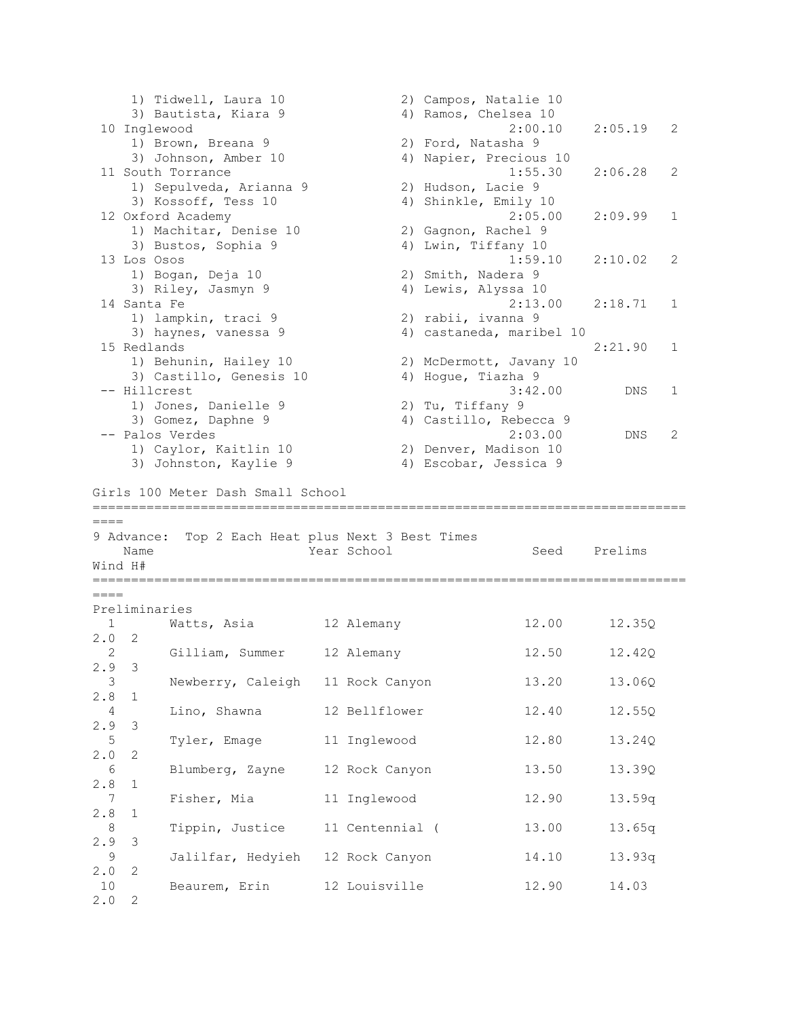1) Tidwell, Laura 10 2) Campos, Natalie 10 3) Bautista, Kiara 9 4) Ramos, Chelsea 10 10 Inglewood 2:00.10 2:05.19 2 1) Brown, Breana 9 2) Ford, Natasha 9 3) Johnson, Amber 10 4) Napier, Precious 10 11 South Torrance 1:55.30 2:06.28 2 1) Sepulveda, Arianna 9 2) Hudson, Lacie 9 3) Kossoff, Tess 10 4) Shinkle, Emily 10 12 Oxford Academy 2:05.00 2:09.99 1 1) Machitar, Denise 10 2) Gagnon, Rachel 9 3) Bustos, Sophia 9 4) Lwin, Tiffany 10 13 Los Osos 1:59.10 2:10.02 2 1) Bogan, Deja 10 2) Smith, Nadera 9 3) Riley, Jasmyn 9 4) Lewis, Alyssa 10 14 Santa Fe 2:13.00 2:18.71 1 1) lampkin, traci 9 2) rabii, ivanna 9 3) haynes, vanessa 9 4) castaneda, maribel 10 15 Redlands 2:21.90 1 1) Behunin, Hailey 10 2) McDermott, Javany 10 3) Castillo, Genesis 10 4) Hogue, Tiazha 9 -- Hillcrest 3:42.00 DNS 1 1) Jones, Danielle 9 2) Tu, Tiffany 9 3) Gomez, Daphne 9 4) Castillo, Rebecca 9 -- Palos Verdes 2:03.00 DNS 2 1) Caylor, Kaitlin 10 2) Denver, Madison 10 3) Johnston, Kaylie 9 4) Escobar, Jessica 9 Girls 100 Meter Dash Small School =============================================================================  $====$ 9 Advance: Top 2 Each Heat plus Next 3 Best Times Name **Year School** Seed Prelims Wind H# =============================================================================  $=$ Preliminaries 1 Watts, Asia 12 Alemany 12.00 12.35Q 2.0 2 2 Gilliam, Summer 12 Alemany 12.50 12.42Q 2.9 3 3 Newberry, Caleigh 11 Rock Canyon 13.20 13.06Q 2.8 1 4 Lino, Shawna 12 Bellflower 12.40 12.55Q 2.9 3 5 Tyler, Emage 11 Inglewood 12.80 13.24Q 2.0 2 6 Blumberg, Zayne 12 Rock Canyon 13.50 13.39Q 2.8 1 7 Fisher, Mia 11 Inglewood 12.90 13.59q 2.8 1 8 Tippin, Justice 11 Centennial ( 13.00 13.65q 2.9 3 9 Jalilfar, Hedyieh 12 Rock Canyon 14.10 13.93q 2.0 2 10 Beaurem, Erin 12 Louisville 12.90 14.03 2.0 2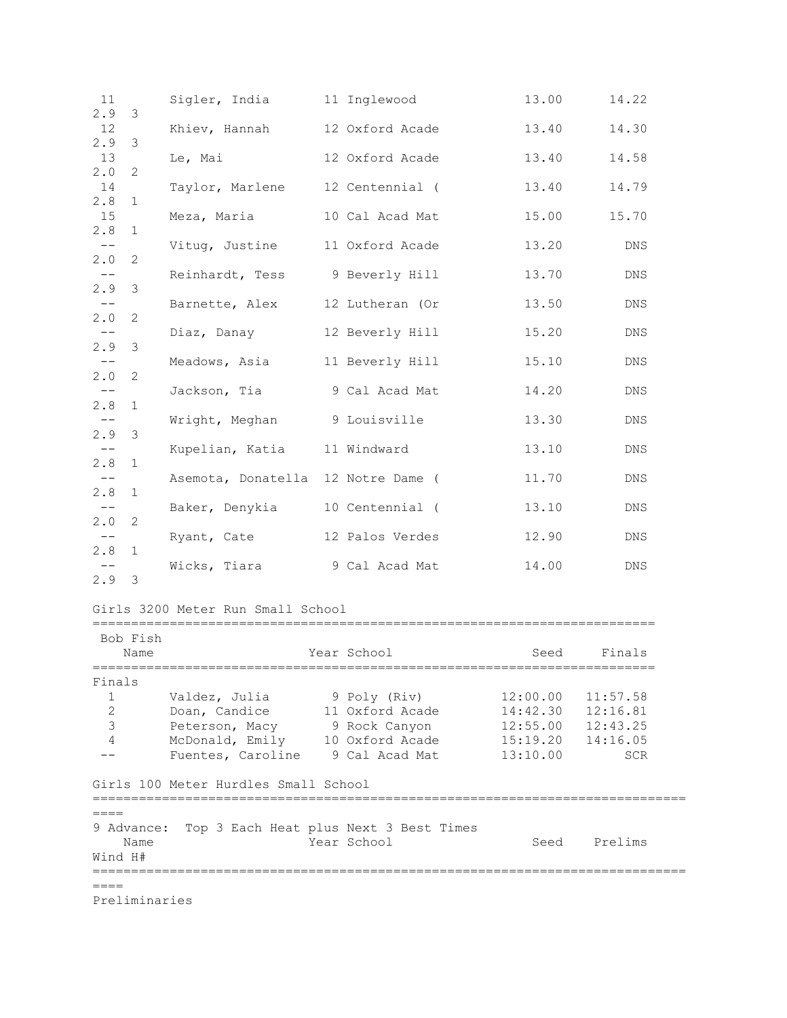| 11<br>2.9                    | 3                  | Sigler, India                        | 11 Inglewood                                          | 13.00                | 14.22                |
|------------------------------|--------------------|--------------------------------------|-------------------------------------------------------|----------------------|----------------------|
| 12                           |                    | Khiev, Hannah 12 Oxford Acade        |                                                       | 13.40                | 14.30                |
| 2.9<br>13                    | 3                  | Le, Mai                              | 12 Oxford Acade                                       | 13.40                | 14.58                |
| 2.0<br>14                    | 2                  |                                      |                                                       |                      |                      |
| 2.8                          | 1                  | Taylor, Marlene                      | 12 Centennial (                                       | 13.40                | 14.79                |
| 15<br>2.8                    | $\mathbf{1}$       | Meza, Maria                          | 10 Cal Acad Mat                                       | 15.00                | 15.70                |
| $-\,-$<br>2.0                | 2                  | Vituq, Justine 11 Oxford Acade       |                                                       | 13.20                | DNS                  |
| $-\,-$                       |                    | Reinhardt, Tess                      | 9 Beverly Hill                                        | 13.70                | DNS                  |
| 2.9<br>$--$                  | -3                 | Barnette, Alex                       | 12 Lutheran (Or                                       | 13.50                | DNS                  |
| 2.0                          | 2                  |                                      |                                                       |                      |                      |
| 2.9                          | 3                  | Diaz, Danay                          | 12 Beverly Hill                                       | 15.20                | DNS                  |
| $-\,-$<br>2.0                | 2                  | Meadows, Asia 11 Beverly Hill        |                                                       | 15.10                | DNS                  |
| $ -$                         |                    | Jackson, Tia                         | 9 Cal Acad Mat                                        | 14.20                | DNS                  |
| 2.8<br>$\qquad \qquad -$     | $\mathbf{1}$       | Wright, Meghan                       | 9 Louisville                                          | 13.30                | DNS                  |
| 2.9<br>$-\,-$                | 3                  | Kupelian, Katia 11 Windward          |                                                       | 13.10                | DNS                  |
| 2.8                          | $\mathbf{1}$       |                                      |                                                       |                      |                      |
| $- \, -$<br>2.8              | 1                  | Asemota, Donatella 12 Notre Dame (   |                                                       | 11.70                | DNS                  |
| $--$<br>2.0                  | 2                  | Baker, Denykia 10 Centennial (       |                                                       | 13.10                | DNS                  |
| $--$                         |                    | Ryant, Cate                          | 12 Palos Verdes                                       | 12.90                | DNS                  |
| 2.8                          | $\mathbf{1}$       | Wicks, Tiara                         | 9 Cal Acad Mat                                        | 14.00                | DNS                  |
| $2.9$ 3                      |                    |                                      |                                                       |                      |                      |
|                              |                    | Girls 3200 Meter Run Small School    |                                                       |                      |                      |
|                              | Bob Fish           |                                      |                                                       |                      |                      |
|                              | Name               |                                      | Year School                                           | Seed                 | Finals               |
| Finals                       |                    |                                      |                                                       |                      |                      |
| $\mathbf{1}$<br>$\mathbf{2}$ |                    | Valdez, Julia<br>Doan, Candice       | 9 Poly (Riv)<br>11 Oxford Acade                       | 12:00.00<br>14:42.30 | 11:57.58<br>12:16.81 |
| 3                            |                    | Peterson, Macy                       | 9 Rock Canyon                                         | 12:55.00             | 12:43.25             |
| 4                            |                    | McDonald, Emily 10 Oxford Acade      |                                                       | 15:19.20             | 14:16.05             |
|                              |                    | Fuentes, Caroline 9 Cal Acad Mat     |                                                       | 13:10.00             | <b>SCR</b>           |
|                              |                    | Girls 100 Meter Hurdles Small School |                                                       |                      |                      |
| $====$                       |                    |                                      |                                                       |                      |                      |
| Wind H#                      | 9 Advance:<br>Name |                                      | Top 3 Each Heat plus Next 3 Best Times<br>Year School | Seed                 | Prelims              |
| ====                         |                    |                                      |                                                       |                      |                      |
|                              | Preliminaries      |                                      |                                                       |                      |                      |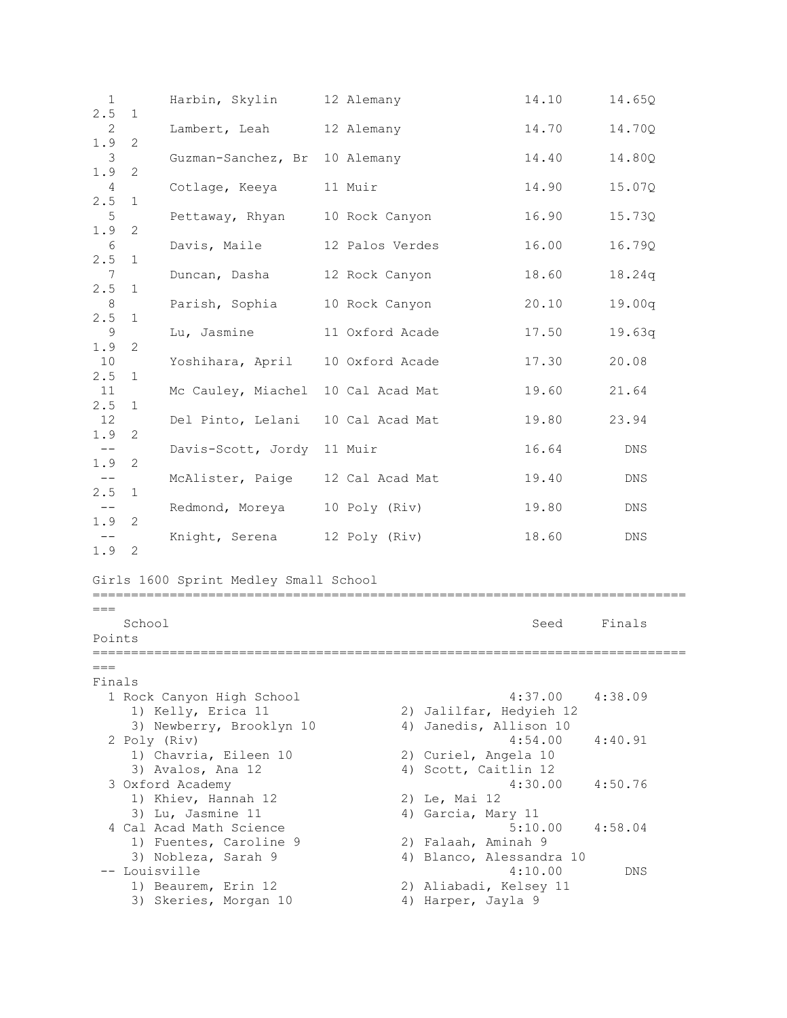| $\mathbf{1}$  |              | Harbin, Skylin                                | 12 Alemany      | 14.10                                           | 14.65Q      |
|---------------|--------------|-----------------------------------------------|-----------------|-------------------------------------------------|-------------|
| 2.5<br>2      | $\mathbf{1}$ | Lambert, Leah                                 | 12 Alemany      | 14.70                                           | 14.70Q      |
| 1.9<br>3      | 2            | Guzman-Sanchez, Br 10 Alemany                 |                 | 14.40                                           | 14.80Q      |
| 1.9<br>4      | 2            | Cotlage, Keeya                                | 11 Muir         | 14.90                                           | 15.07Q      |
| 2.5           | 1            |                                               |                 |                                                 |             |
| 5<br>1.9      | 2            | Pettaway, Rhyan 10 Rock Canyon                |                 | 16.90                                           | 15.73Q      |
| 6<br>2.5      | 1            | Davis, Maile                                  | 12 Palos Verdes | 16.00                                           | 16.79Q      |
| 7<br>2.5      |              | Duncan, Dasha                                 | 12 Rock Canyon  | 18.60                                           | 18.24q      |
| 8             | 1            | Parish, Sophia                                | 10 Rock Canyon  | 20.10                                           | 19.00q      |
| 2.5<br>9      | 1            | Lu, Jasmine                                   | 11 Oxford Acade | 17.50                                           | 19.63q      |
| 1.9<br>10     | 2            | Yoshihara, April 10 Oxford Acade              |                 | 17.30                                           | 20.08       |
| 2.5<br>11     | 1            | Mc Cauley, Miachel 10 Cal Acad Mat            |                 | 19.60                                           | 21.64       |
| 2.5           | $\mathbf 1$  |                                               |                 |                                                 |             |
| 12<br>1.9     | 2            | Del Pinto, Lelani 10 Cal Acad Mat             |                 | 19.80                                           | 23.94       |
| $-\,-$<br>1.9 | 2            | Davis-Scott, Jordy 11 Muir                    |                 | 16.64                                           | ${\rm DNS}$ |
| $- -$         |              | McAlister, Paige 12 Cal Acad Mat              |                 | 19.40                                           | DNS         |
| 2.5<br>$ -$   | $\mathbf{1}$ | Redmond, Moreya 10 Poly (Riv)                 |                 | 19.80                                           | DNS         |
| 1.9<br>$-\,-$ | 2            | Knight, Serena 12 Poly (Riv)                  |                 | 18.60                                           | DNS         |
| 1.9 2         |              |                                               |                 |                                                 |             |
|               |              | Girls 1600 Sprint Medley Small School         |                 |                                                 |             |
| $===$         | School       |                                               |                 | Seed                                            | Finals      |
| Points        |              |                                               |                 |                                                 |             |
| $===$         |              |                                               |                 |                                                 |             |
| Finals        |              | 1 Rock Canyon High School                     |                 | 4:37.00                                         | 4:38.09     |
|               |              | 1) Kelly, Erica 11                            |                 | 2) Jalilfar, Hedyieh 12                         |             |
|               |              | 3) Newberry, Brooklyn 10<br>2 Poly (Riv)      |                 | 4) Janedis, Allison 10<br>4:54.00               | 4:40.91     |
|               |              | 1) Chavria, Eileen 10                         |                 | 2) Curiel, Angela 10<br>4) Scott, Caitlin 12    |             |
|               |              | 3) Avalos, Ana 12<br>3 Oxford Academy         |                 | 4:30.00                                         | 4:50.76     |
|               |              | 1) Khiev, Hannah 12                           |                 | 2) Le, Mai 12                                   |             |
|               |              | 3) Lu, Jasmine 11                             |                 | 4) Garcia, Mary 11                              |             |
|               |              | 4 Cal Acad Math Science                       |                 | 5:10.00                                         | 4:58.04     |
|               |              | 1) Fuentes, Caroline 9<br>3) Nobleza, Sarah 9 |                 | 2) Falaah, Aminah 9<br>4) Blanco, Alessandra 10 |             |
|               |              | -- Louisville                                 |                 | 4:10.00                                         | DNS         |
|               |              | 1) Beaurem, Erin 12                           |                 | 2) Aliabadi, Kelsey 11                          |             |
|               |              | 3) Skeries, Morgan 10                         |                 | 4) Harper, Jayla 9                              |             |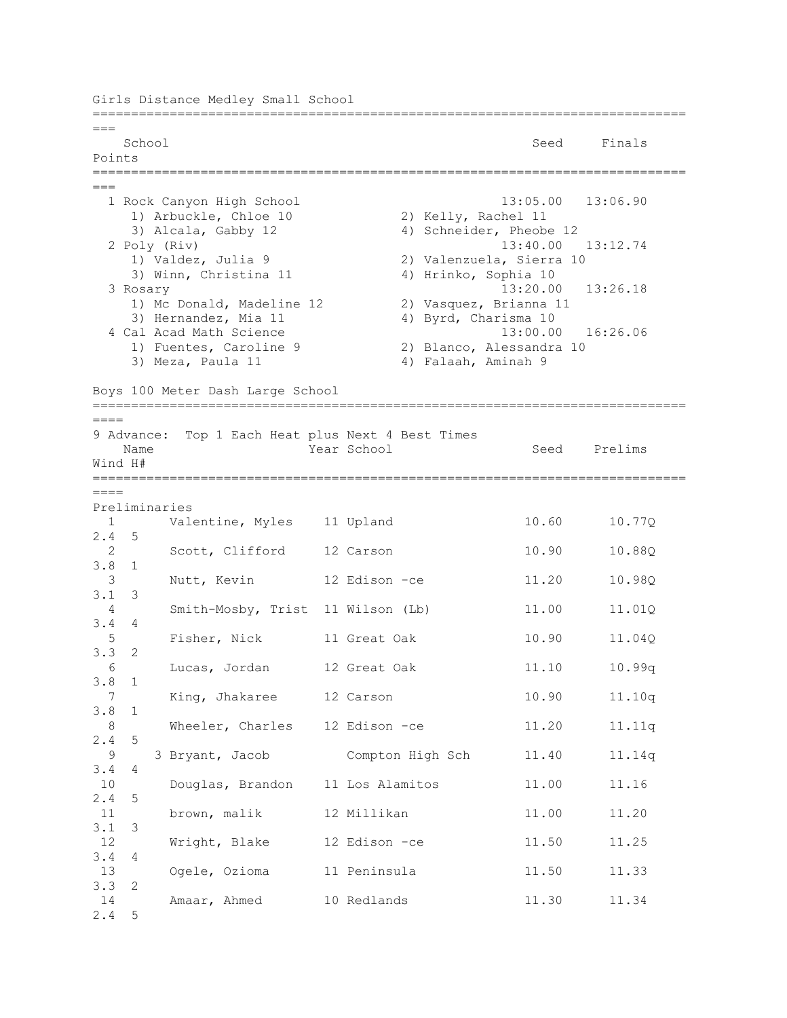Girls Distance Medley Small School ============================================================================= === School Seed Finals Points ============================================================================= === 1 Rock Canyon High School 13:05.00 13:06.90 1) Arbuckle, Chloe 10 2) Kelly, Rachel 11 3) Alcala, Gabby 12 4) Schneider, Pheobe 12 2 Poly (Riv) 13:40.00 13:12.74 1) Valdez, Julia 9 2) Valenzuela, Sierra 10 3) Winn, Christina 11 4) Hrinko, Sophia 10 3 Rosary 13:20.00 13:26.18 1) Mc Donald, Madeline 12 2) Vasquez, Brianna 11 3) Hernandez, Mia 11 (a) 4) Byrd, Charisma 10<br>
(al Acad Math Science (a) 4) Byrd, Charisma 10 4 Cal Acad Math Science 1) Fuentes, Caroline 9 2) Blanco, Alessandra 10 3) Meza, Paula 11 4) Falaah, Aminah 9 Boys 100 Meter Dash Large School =============================================================================  $=$ 9 Advance: Top 1 Each Heat plus Next 4 Best Times Name Year School Seed Prelims Wind H# =============================================================================  $=$ Preliminaries 1 Valentine, Myles 11 Upland 10.60 10.77Q 2.4 5 2 Scott, Clifford 12 Carson 10.90 10.88Q 3.8 1 3 Nutt, Kevin 12 Edison -ce 11.20 10.98Q 3.1 3 4 Smith-Mosby, Trist 11 Wilson (Lb) 11.00 11.01Q 3.4 4 5 Fisher, Nick 11 Great Oak 10.90 11.04Q 3.3 2 6 Lucas, Jordan 12 Great Oak 11.10 10.99q 3.8 1 7 King, Jhakaree 12 Carson 10.90 11.10q 3.8 1 8 Wheeler, Charles 12 Edison -ce 11.20 11.11q 2.4 5 9 3 Bryant, Jacob Compton High Sch 11.40 11.14q 3.4 4 10 Douglas, Brandon 11 Los Alamitos 11.00 11.16 2.4 5 11 brown, malik 12 Millikan 11.00 11.20 3.1 3 12 Wright, Blake 12 Edison -ce 11.50 11.25 3.4 4 13 Ogele, Ozioma 11 Peninsula 11.50 11.33 3.3 2 14 Amaar, Ahmed 10 Redlands 11.30 11.34 2.4 5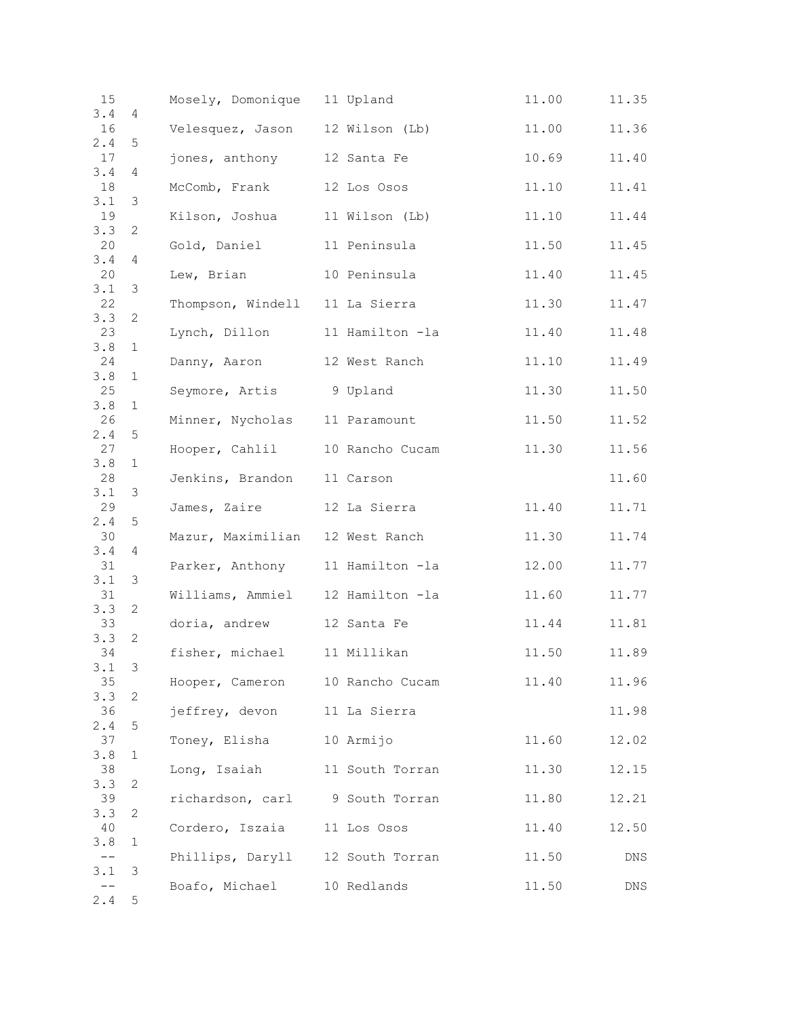| 15        |                | Mosely, Domonique 11 Upland      |                 | 11.00 | 11.35 |
|-----------|----------------|----------------------------------|-----------------|-------|-------|
| 3.4<br>16 | 4              | Velesquez, Jason 12 Wilson (Lb)  |                 | 11.00 | 11.36 |
| 2.4       | 5              |                                  |                 |       |       |
| 17<br>3.4 | 4              | jones, anthony 12 Santa Fe       |                 | 10.69 | 11.40 |
| 18        |                | McComb, Frank                    | 12 Los Osos     | 11.10 | 11.41 |
| 3.1<br>19 | 3              | Kilson, Joshua 11 Wilson (Lb)    |                 | 11.10 | 11.44 |
| 3.3       | 2              |                                  |                 |       |       |
| 20<br>3.4 | 4              | Gold, Daniel 11 Peninsula        |                 | 11.50 | 11.45 |
| 20        |                | Lew, Brian                       | 10 Peninsula    | 11.40 | 11.45 |
| 3.1<br>22 | $\mathfrak{Z}$ | Thompson, Windell 11 La Sierra   |                 | 11.30 | 11.47 |
| 3.3<br>23 | 2              | Lynch, Dillon 11 Hamilton -la    |                 | 11.40 | 11.48 |
| 3.8       | 1              |                                  |                 |       |       |
| 24<br>3.8 | 1              | Danny, Aaron 12 West Ranch       |                 | 11.10 | 11.49 |
| 25        |                | Seymore, Artis                   | 9 Upland        | 11.30 | 11.50 |
| 3.8<br>26 | $\mathbf{1}$   | Minner, Nycholas 11 Paramount    |                 | 11.50 | 11.52 |
| 2.4       | $\mathsf S$    |                                  |                 |       |       |
| 27<br>3.8 | $\mathbf{1}$   | Hooper, Cahlil 10 Rancho Cucam   |                 | 11.30 | 11.56 |
| 28        |                | Jenkins, Brandon 11 Carson       |                 |       | 11.60 |
| 3.1<br>29 | 3              | James, Zaire 12 La Sierra        |                 | 11.40 | 11.71 |
| 2.4       | 5              |                                  |                 |       |       |
| 30<br>3.4 | 4              | Mazur, Maximilian 12 West Ranch  |                 | 11.30 | 11.74 |
| 31        |                | Parker, Anthony 11 Hamilton -la  |                 | 12.00 | 11.77 |
| 3.1<br>31 | 3              | Williams, Ammiel 12 Hamilton -la |                 | 11.60 | 11.77 |
| 3.3<br>33 | 2              | doria, andrew 12 Santa Fe        |                 | 11.44 | 11.81 |
| 3.3       | 2              |                                  |                 |       |       |
| 34<br>3.1 | 3              | fisher, michael 11 Millikan      |                 | 11.50 | 11.89 |
| 35        |                | Hooper, Cameron 10 Rancho Cucam  |                 | 11.40 | 11.96 |
| 3.3<br>36 | 2              | jeffrey, devon 11 La Sierra      |                 |       | 11.98 |
| 2.4       | 5              |                                  |                 |       |       |
| 37<br>3.8 | 1              | Toney, Elisha 10 Armijo          |                 | 11.60 | 12.02 |
| 38        |                | Long, Isaiah                     | 11 South Torran | 11.30 | 12.15 |
| 3.3<br>39 | 2              | richardson, carl 9 South Torran  |                 | 11.80 | 12.21 |
| 3.3       | 2              |                                  |                 |       |       |
| 40<br>3.8 | 1              | Cordero, Iszaia 11 Los Osos      |                 | 11.40 | 12.50 |
| $-\,-$    |                | Phillips, Daryll 12 South Torran |                 | 11.50 | DNS   |
| 3.1       | 3              | Boafo, Michael 10 Redlands       |                 | 11.50 | DNS   |
| 2.4       | 5              |                                  |                 |       |       |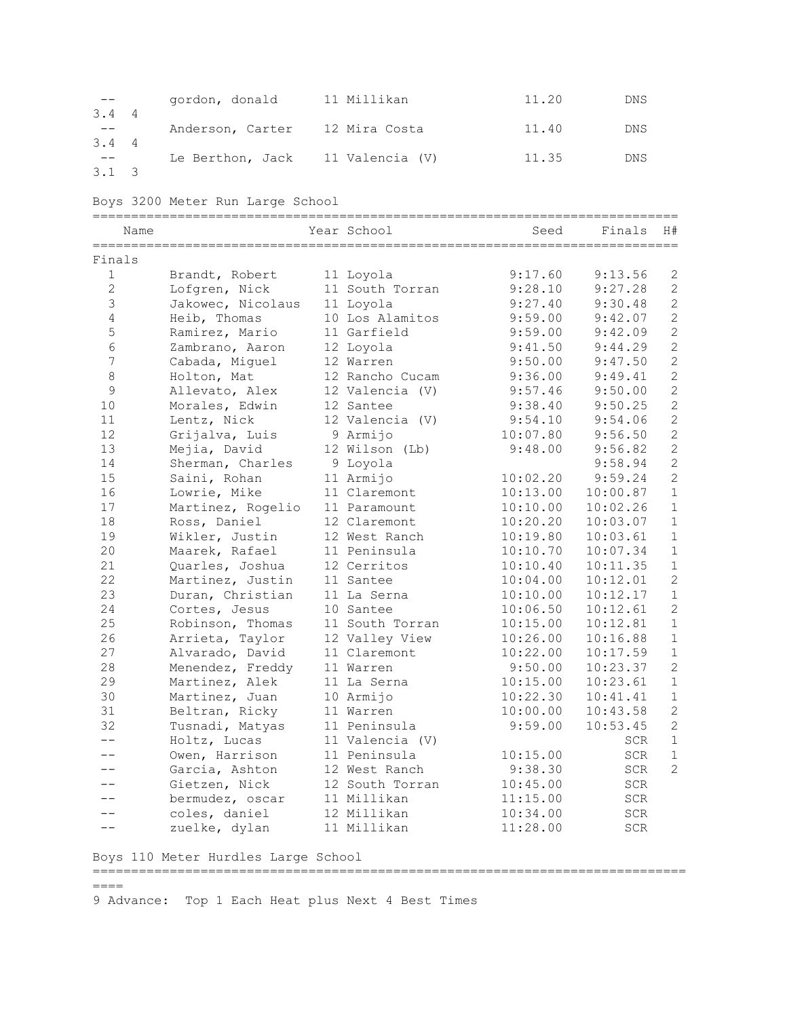|               | gordon, donald                   | 11 Millikan | 11.20 | DNS |
|---------------|----------------------------------|-------------|-------|-----|
| $3.4 \quad 4$ |                                  |             |       |     |
| $3.4 \quad 4$ | Anderson, Carter 12 Mira Costa   |             | 11.40 | DNS |
|               | Le Berthon, Jack 11 Valencia (V) |             | 11.35 | DNS |
| $3.1 \quad 3$ |                                  |             |       |     |

Boys 3200 Meter Run Large School

| Name           |                   | Year School     | Seed     | Finals     | H#             |
|----------------|-------------------|-----------------|----------|------------|----------------|
| Finals         |                   |                 |          |            |                |
| $\mathbf{1}$   | Brandt, Robert    | 11 Loyola       | 9:17.60  | 9:13.56    | 2              |
| $\overline{2}$ | Lofgren, Nick     | 11 South Torran | 9:28.10  | 9:27.28    | 2              |
| $\mathfrak{Z}$ | Jakowec, Nicolaus | 11 Loyola       | 9:27.40  | 9:30.48    | $\overline{2}$ |
| $\overline{4}$ | Heib, Thomas      | 10 Los Alamitos | 9:59.00  | 9:42.07    | $\overline{c}$ |
| 5              | Ramirez, Mario    | 11 Garfield     | 9:59.00  | 9:42.09    | $\overline{c}$ |
| 6              | Zambrano, Aaron   | 12 Loyola       | 9:41.50  | 9:44.29    | $\overline{c}$ |
| $\overline{7}$ | Cabada, Miguel    | 12 Warren       | 9:50.00  | 9:47.50    | $\overline{2}$ |
| $\,8\,$        | Holton, Mat       | 12 Rancho Cucam | 9:36.00  | 9:49.41    | $\overline{c}$ |
| 9              | Allevato, Alex    | 12 Valencia (V) | 9:57.46  | 9:50.00    | $\overline{c}$ |
| 10             | Morales, Edwin    | 12 Santee       | 9:38.40  | 9:50.25    | $\overline{c}$ |
| 11             | Lentz, Nick       | 12 Valencia (V) | 9:54.10  | 9:54.06    | $\overline{c}$ |
| 12             | Grijalva, Luis    | 9 Armijo        | 10:07.80 | 9:56.50    | $\overline{2}$ |
| 13             | Mejia, David      | 12 Wilson (Lb)  | 9:48.00  | 9:56.82    | $\overline{c}$ |
| 14             | Sherman, Charles  | 9 Loyola        |          | 9:58.94    | $\overline{c}$ |
| 15             | Saini, Rohan      | 11 Armijo       | 10:02.20 | 9:59.24    | $\overline{c}$ |
| 16             | Lowrie, Mike      | 11 Claremont    | 10:13.00 | 10:00.87   | $1\,$          |
| 17             | Martinez, Rogelio | 11 Paramount    | 10:10.00 | 10:02.26   | $\mathbf{1}$   |
| 18             | Ross, Daniel      | 12 Claremont    | 10:20.20 | 10:03.07   | $\mathbf{1}$   |
| 19             | Wikler, Justin    | 12 West Ranch   | 10:19.80 | 10:03.61   | $\mathbf{1}$   |
| 20             | Maarek, Rafael    | 11 Peninsula    | 10:10.70 | 10:07.34   | $1\,$          |
| 21             | Quarles, Joshua   | 12 Cerritos     | 10:10.40 | 10:11.35   | $\mathbf{1}$   |
| 22             | Martinez, Justin  | 11 Santee       | 10:04.00 | 10:12.01   | $\overline{c}$ |
| 23             | Duran, Christian  | 11 La Serna     | 10:10.00 | 10:12.17   | $1\,$          |
| 24             | Cortes, Jesus     | 10 Santee       | 10:06.50 | 10:12.61   | $\overline{2}$ |
| 25             | Robinson, Thomas  | 11 South Torran | 10:15.00 | 10:12.81   | $\mathbf{1}$   |
| 26             | Arrieta, Taylor   | 12 Valley View  | 10:26.00 | 10:16.88   | $1\,$          |
| 27             | Alvarado, David   | 11 Claremont    | 10:22.00 | 10:17.59   | $1\,$          |
| 28             | Menendez, Freddy  | 11 Warren       | 9:50.00  | 10:23.37   | $\overline{2}$ |
| 29             | Martinez, Alek    | 11 La Serna     | 10:15.00 | 10:23.61   | $\mathbf{1}$   |
| 30             | Martinez, Juan    | 10 Armijo       | 10:22.30 | 10:41.41   | $1\,$          |
| 31             | Beltran, Ricky    | 11 Warren       | 10:00.00 | 10:43.58   | $\overline{c}$ |
| 32             | Tusnadi, Matyas   | 11 Peninsula    | 9:59.00  | 10:53.45   | $\overline{c}$ |
| $- -$          | Holtz, Lucas      | 11 Valencia (V) |          | SCR        | $\mathbf{1}$   |
| $-$            | Owen, Harrison    | 11 Peninsula    | 10:15.00 | SCR        | $\mathbf{1}$   |
| --             | Garcia, Ashton    | 12 West Ranch   | 9:38.30  | SCR        | $\overline{2}$ |
|                | Gietzen, Nick     | 12 South Torran | 10:45.00 | SCR        |                |
|                | bermudez, oscar   | 11 Millikan     | 11:15.00 | SCR        |                |
| --             | coles, daniel     | 12 Millikan     | 10:34.00 | <b>SCR</b> |                |
| $- -$          | zuelke, dylan     | 11 Millikan     | 11:28.00 | <b>SCR</b> |                |

Boys 110 Meter Hurdles Large School

============================================================================= ====

9 Advance: Top 1 Each Heat plus Next 4 Best Times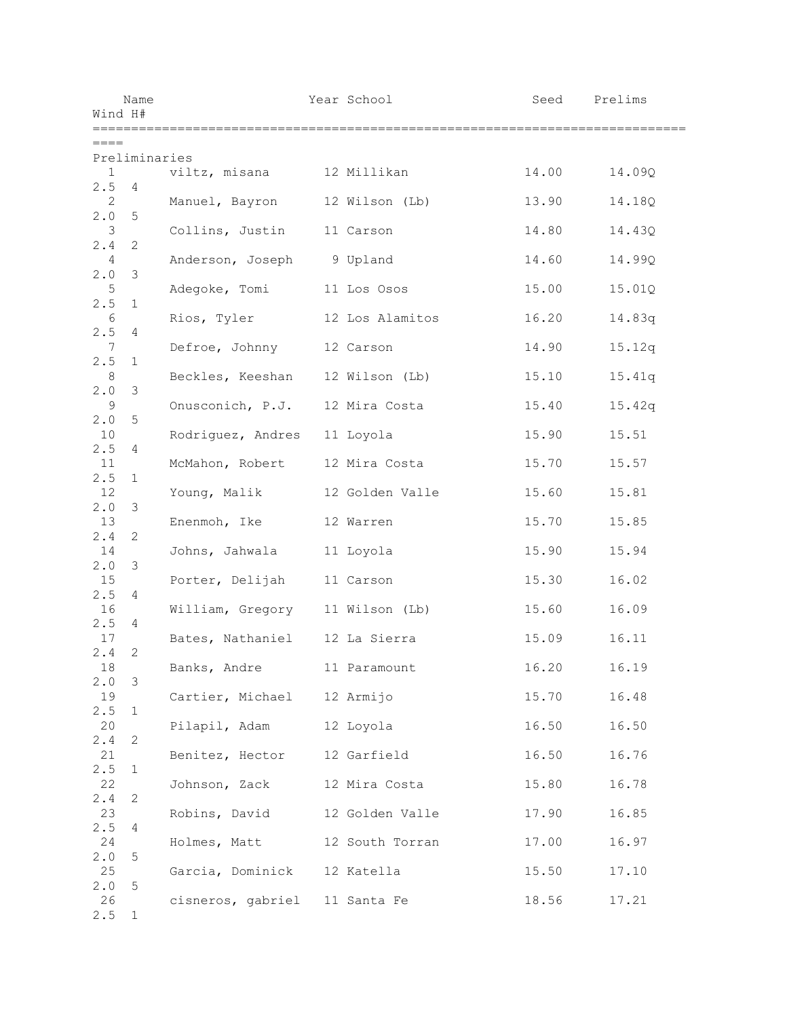| Wind H#               | Name          |                                 | Year School     | Seed                        | Prelims |
|-----------------------|---------------|---------------------------------|-----------------|-----------------------------|---------|
| $== == =$             |               |                                 |                 | =========================== |         |
| $\mathbf{1}$          | Preliminaries | viltz, misana 12 Millikan       |                 | 14.00                       | 14.09Q  |
| 2.5<br>2              | 4             | Manuel, Bayron 12 Wilson (Lb)   |                 | 13.90                       | 14.18Q  |
| 2.0                   | 5             |                                 |                 |                             |         |
| 3<br>2.4              | 2             | Collins, Justin                 | 11 Carson       | 14.80                       | 14.43Q  |
| $\overline{4}$<br>2.0 | 3             | Anderson, Joseph 9 Upland       |                 | 14.60                       | 14.99Q  |
| 5                     |               | Adegoke, Tomi                   | 11 Los Osos     | 15.00                       | 15.01Q  |
| 2.5<br>6              | $\mathbf{1}$  | Rios, Tyler 12 Los Alamitos     |                 | 16.20                       | 14.83q  |
| 2.5<br>7              | 4             | Defroe, Johnny 12 Carson        |                 | 14.90                       | 15.12q  |
| 2.5<br>8              | 1             | Beckles, Keeshan 12 Wilson (Lb) |                 | 15.10                       | 15.41q  |
| 2.0                   | 3             |                                 |                 |                             |         |
| 9<br>2.0              | 5             | Onusconich, P.J. 12 Mira Costa  |                 | 15.40                       | 15.42q  |
| 10<br>2.5             | 4             | Rodriguez, Andres 11 Loyola     |                 | 15.90                       | 15.51   |
| 11<br>2.5             | 1             | McMahon, Robert                 | 12 Mira Costa   | 15.70                       | 15.57   |
| 12                    |               | Young, Malik                    | 12 Golden Valle | 15.60                       | 15.81   |
| 2.0<br>13             | 3             | Enenmoh, Ike                    | 12 Warren       | 15.70                       | 15.85   |
| 2.4<br>14             | 2             | Johns, Jahwala                  | 11 Loyola       | 15.90                       | 15.94   |
| 2.0<br>15             | 3             | Porter, Delijah 11 Carson       |                 | 15.30                       | 16.02   |
| 2.5<br>16             | 4             | William, Gregory 11 Wilson (Lb) |                 | 15.60                       | 16.09   |
| 2.5<br>17             | 4             | Bates, Nathaniel 12 La Sierra   |                 | 15.09                       | 16.11   |
| 2.4                   | 2             |                                 |                 |                             |         |
| 18<br>2.0             | 3             | Banks, Andre 11 Paramount       |                 | 16.20                       | 16.19   |
| 19<br>2.5             | $\mathbf 1$   | Cartier, Michael 12 Armijo      |                 | 15.70                       | 16.48   |
| 20<br>2.4             | 2             | Pilapil, Adam 12 Loyola         |                 | 16.50                       | 16.50   |
| 21                    |               | Benitez, Hector 12 Garfield     |                 | 16.50                       | 16.76   |
| 2.5<br>22             | 1             | Johnson, Zack 12 Mira Costa     |                 | 15.80                       | 16.78   |
| 2.4<br>23             | $\mathbf{2}$  | Robins, David 12 Golden Valle   |                 | 17.90                       | 16.85   |
| 2.5<br>24             | 4             | Holmes, Matt 12 South Torran    |                 | 17.00                       | 16.97   |
| 2.0                   | 5             |                                 |                 |                             |         |
| 25<br>2.0             | 5             | Garcia, Dominick 12 Katella     |                 | 15.50                       | 17.10   |
| 26<br>2.5             | 1             | cisneros, gabriel 11 Santa Fe   |                 | 18.56                       | 17.21   |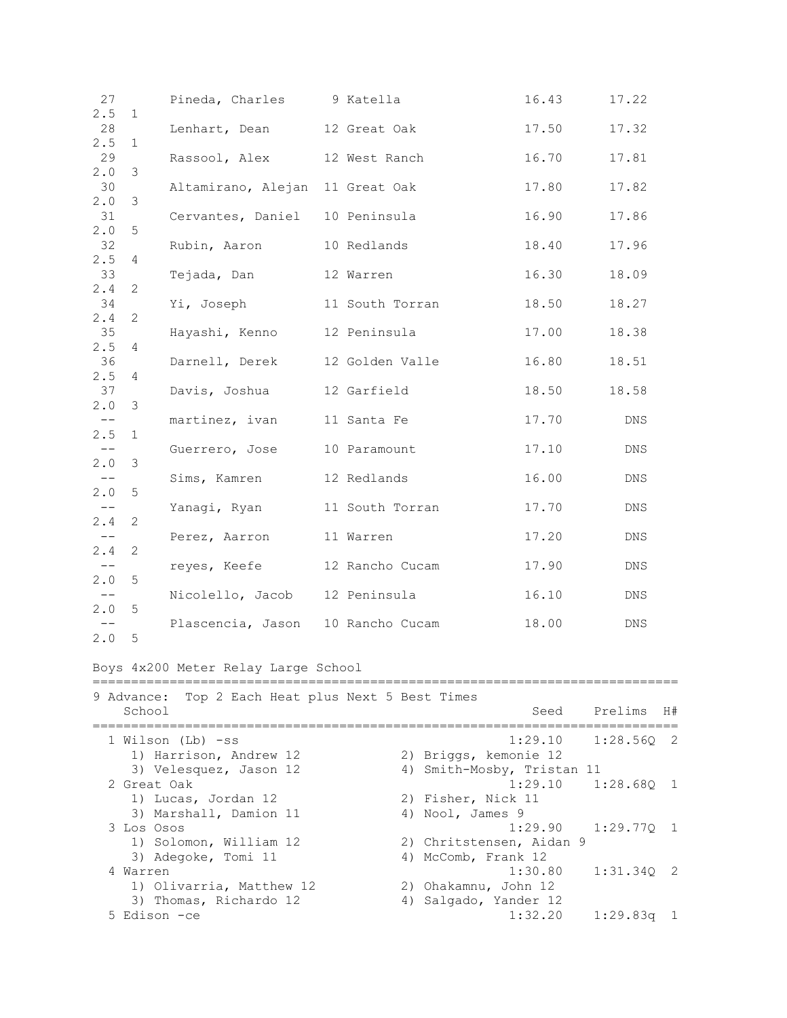| 27                |              | Pineda, Charles 9 Katella           |                 | 16.43 | 17.22 |
|-------------------|--------------|-------------------------------------|-----------------|-------|-------|
| 2.5<br>28         | $\mathbf 1$  | Lenhart, Dean 12 Great Oak          |                 | 17.50 | 17.32 |
| 2.5               | 1            |                                     |                 |       |       |
| 29                |              | Rassool, Alex                       | 12 West Ranch   | 16.70 | 17.81 |
| 2.0               | 3            |                                     |                 |       |       |
| 30                |              | Altamirano, Alejan 11 Great Oak     |                 | 17.80 | 17.82 |
| 2.0<br>31         | 3            | Cervantes, Daniel                   | 10 Peninsula    | 16.90 | 17.86 |
| 2.0               | 5            |                                     |                 |       |       |
| 32                |              | Rubin, Aaron                        | 10 Redlands     | 18.40 | 17.96 |
| 2.5<br>33         | 4            |                                     |                 |       |       |
| 2.4               | 2            | Tejada, Dan                         | 12 Warren       | 16.30 | 18.09 |
| 34                |              | Yi, Joseph                          | 11 South Torran | 18.50 | 18.27 |
| 2.4               | $\mathbf{2}$ |                                     |                 |       |       |
| 35                |              | Hayashi, Kenno 12 Peninsula         |                 | 17.00 | 18.38 |
| 2.5<br>36         | 4            | Darnell, Derek                      | 12 Golden Valle | 16.80 | 18.51 |
| 2.5               | 4            |                                     |                 |       |       |
| 37                |              | Davis, Joshua                       | 12 Garfield     | 18.50 | 18.58 |
| 2.0               | 3            |                                     |                 |       |       |
| $--$              |              | martinez, ivan                      | 11 Santa Fe     | 17.70 | DNS   |
| 2.5<br>$--$       | $\mathbf{1}$ | Guerrero, Jose                      | 10 Paramount    | 17.10 | DNS   |
| 2.0               | 3            |                                     |                 |       |       |
| $--$              |              | Sims, Kamren                        | 12 Redlands     | 16.00 | DNS   |
| 2.0               | 5            |                                     |                 |       |       |
| $--$<br>2.4       | 2            | Yanagi, Ryan                        | 11 South Torran | 17.70 | DNS   |
| $--$              |              | Perez, Aarron                       | 11 Warren       | 17.20 | DNS   |
| 2.4               | $\mathbf{2}$ |                                     |                 |       |       |
| $--$              |              | reyes, Keefe                        | 12 Rancho Cucam | 17.90 | DNS   |
| 2.0               | 5            |                                     |                 |       |       |
| $--$<br>2.0       | 5            | Nicolello, Jacob 12 Peninsula       |                 | 16.10 | DNS   |
| $\qquad \qquad -$ |              | Plascencia, Jason 10 Rancho Cucam   |                 | 18.00 | DNS.  |
| 2.0               | 5            |                                     |                 |       |       |
|                   |              |                                     |                 |       |       |
|                   |              | Boys 4x200 Meter Relay Large School |                 |       |       |

| Top 2 Each Heat plus Next 5 Best Times<br>9 Advance: |                            |                 |  |
|------------------------------------------------------|----------------------------|-----------------|--|
| School                                               | Seed                       | Prelims H#      |  |
| 1 Wilson (Lb) -ss                                    | 1:29.10                    | $1:28.560$ 2    |  |
| 1) Harrison, Andrew 12                               | 2) Briggs, kemonie 12      |                 |  |
| 3) Velesquez, Jason 12                               | 4) Smith-Mosby, Tristan 11 |                 |  |
| 2 Great Oak                                          | $1:29.10$ $1:28.680$ 1     |                 |  |
| 1) Lucas, Jordan 12                                  | 2) Fisher, Nick 11         |                 |  |
| 3) Marshall, Damion 11                               | 4) Nool, James 9           |                 |  |
| 3 Los Osos                                           | $1:29.90$ $1:29.770$ 1     |                 |  |
| 1) Solomon, William 12                               | 2) Chritstensen, Aidan 9   |                 |  |
| 3) Adegoke, Tomi 11                                  | 4) McComb, Frank 12        |                 |  |
| 4 Warren                                             | 1:30.80                    | $1:31.340$ 2    |  |
| 1) Olivarria, Matthew 12                             | 2) Ohakamnu, John 12       |                 |  |
| 3) Thomas, Richardo 12                               | 4) Salgado, Yander 12      |                 |  |
| 5 Edison -ce                                         | 1:32.20                    | $1:29.83\sigma$ |  |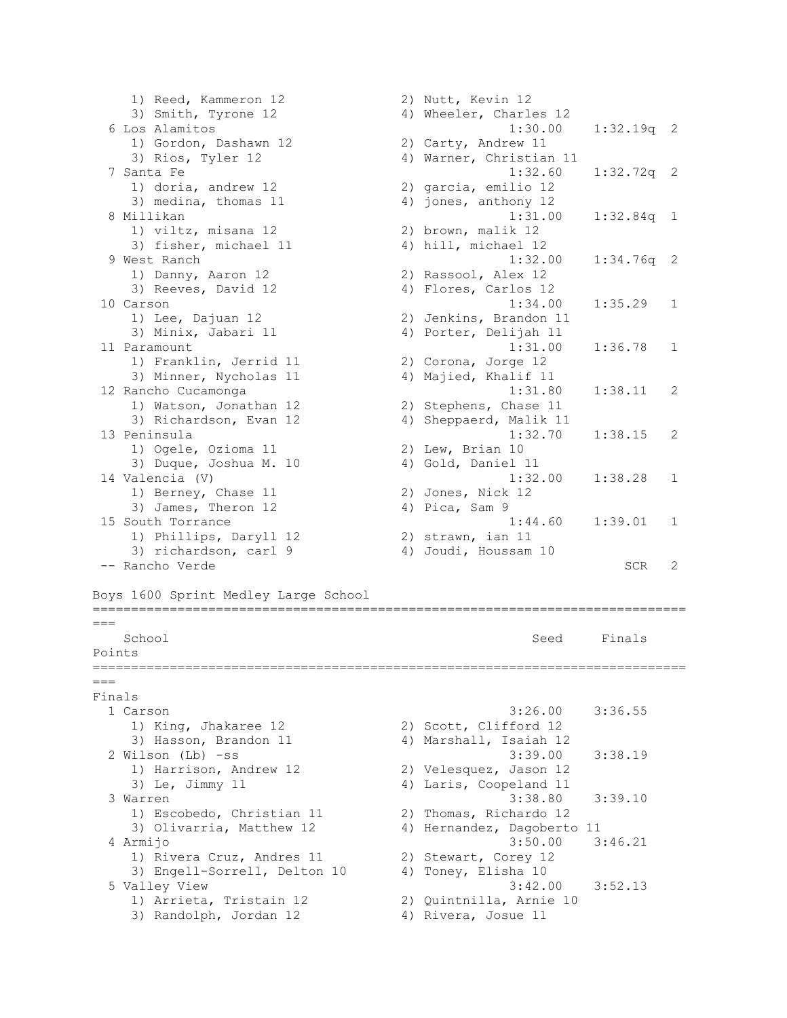1) Reed, Kammeron 12 2) Nutt, Kevin 12 3) Smith, Tyrone 12 4) Wheeler, Charles 12 6 Los Alamitos 1:30.00 1:32.19q 2 1) Gordon, Dashawn 12 2) Carty, Andrew 11 3) Rios, Tyler 12 4) Warner, Christian 11 7 Santa Fe 1:32.60 1:32.72q 2 1) doria, andrew 12 2) garcia, emilio 12 3) medina, thomas 11 4) jones, anthony 12 8 Millikan 1:31.00 1:32.84q 1 1) viltz, misana 12 2) brown, malik 12 1) viltz, misana 12 (2) brown, malik 12<br>3) fisher, michael 11 (4) hill, michael 12 9 West Ranch 1:32.00 1:34.76q 2 1) Danny, Aaron 12 2) Rassool, Alex 12 3) Reeves, David 12 4) Flores, Carlos 12 10 Carson 1:34.00 1:35.29 1 1) Lee, Dajuan 12 2) Jenkins, Brandon 11 3) Minix, Jabari 11 4) Porter, Delijah 11 11 Paramount 1:31.00 1:36.78 1 1) Franklin, Jerrid 11 2) Corona, Jorge 12 3) Minner, Nycholas 11 4) Majied, Khalif 11 12 Rancho Cucamonga 1:31.80 1:38.11 2 1) Watson, Jonathan 12 2) Stephens, Chase 11 3) Richardson, Evan 12 4) Sheppaerd, Malik 11 13 Peninsula 1:32.70 1:38.15 2 1) Ogele, Ozioma 11 2) Lew, Brian 10 3) Duque, Joshua M. 10 4) Gold, Daniel 11 14 Valencia (V) 1:32.00 1:38.28 1 1) Berney, Chase 11 2) Jones, Nick 12 3) James, Theron 12 (4) Pica, Sam 9 15 South Torrance 1:44.60 1:39.01 1 1) Phillips, Daryll 12 2) strawn, ian 11 3) richardson, carl 9 4) Joudi, Houssam 10 -- Rancho Verde SCR 2 Boys 1600 Sprint Medley Large School ============================================================================= === School School Seed Finals Points =============================================================================  $=$ Finals 1 Carson 3:26.00 3:36.55 1) King, Jhakaree 12 2) Scott, Clifford 12 3) Hasson, Brandon 11 4) Marshall, Isaiah 12 2 Wilson (Lb) -ss 3:39.00 3:38.19 1) Harrison, Andrew 12 2) Velesquez, Jason 12 3) Le, Jimmy 11 4) Laris, Coopeland 11 3 Warren 3:38.80 3:39.10 1) Escobedo, Christian 11 2) Thomas, Richardo 12 3) Olivarria, Matthew 12 4) Hernandez, Dagoberto 11 4 Armijo 3:50.00 3:46.21 1) Rivera Cruz, Andres 11 2) Stewart, Corey 12 3) Engell-Sorrell, Delton 10 4) Toney, Elisha 10 5 Valley View 3:42.00 3:52.13 1) Arrieta, Tristain 12 2) Quintnilla, Arnie 10 3) Randolph, Jordan 12 4) Rivera, Josue 11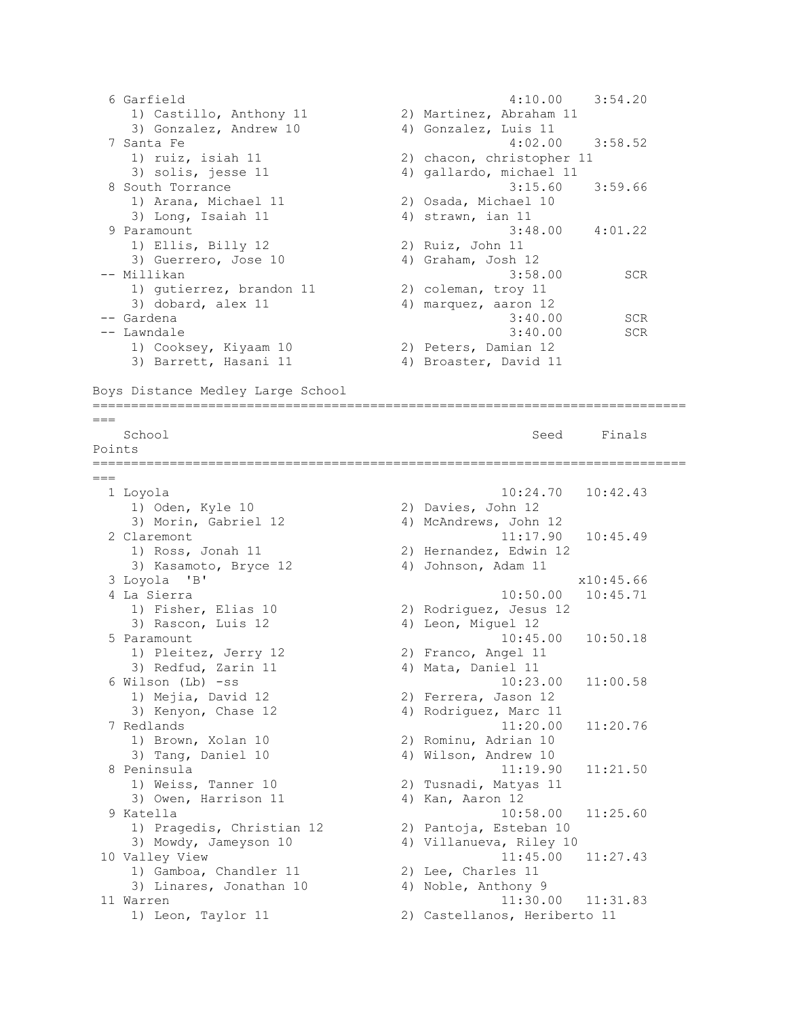```
 6 Garfield 4:10.00 3:54.20 
 1) Castillo, Anthony 11 2) Martinez, Abraham 11 
 3) Gonzalez, Andrew 10 4) Gonzalez, Luis 11 
  7 Santa Fe 4:02.00 3:58.52 
 1) ruiz, isiah 11 2) chacon, christopher 11 
3) solis, jesse 11 4) gallardo, michael 11
 8 South Torrance 3:15.60 3:59.66<br>
1) Arana, Michael 11 2) Osada, Michael 10<br>
3) Long, Isaiah 11 4) strawn, ian 11
 1) Arana, Michael 11 2) Osada, Michael 10 
3) Long, Isaiah 11 4) strawn, ian 11
 9 Paramount<br>
1) Ellis, Billy 12<br>
3) Guerrero, Jose 10<br>
3) Guerrero, Jose 10<br>
3) Suiz, John 11
1) Ellis, Billy 12 2) Ruiz, John 11
3) Guerrero, Jose 10 4) Graham, Josh 12
-- Millikan 3:58.00 SCR 
1) gutierrez, brandon 11 (2) coleman, troy 11
3) dobard, alex 11 4) marquez, aaron 12
-- Gardena 3:40.00 SCR 
-- Gardena 3:40.00 SCR<br>-- Lawndale 3:40.00 SCR<br>-- Lawndale 3:40.00 SCR
 1) Cooksey, Kiyaam 10 2) Peters, Damian 12 
3) Barrett, Hasani 11 4) Broaster, David 11
Boys Distance Medley Large School
=============================================================================
==School School Seed Finals
Points
=============================================================================
==-1 Loyola 10:24.70 10:42.43<br>
1) Oden, Kyle 10 2) Davies, John 12<br>
3) Morin, Gabriel 12 4) McAndrews, John 12
1) Oden, Kyle 10 2) Davies, John 12
3) Morin, Gabriel 12 4) McAndrews, John 12
  2 Claremont 11:17.90 10:45.49 
 1) Ross, Jonah 11 2) Hernandez, Edwin 12 
3) Kasamoto, Bryce 12 4) Johnson, Adam 11
  3 Loyola 'B' x10:45.66 
 4 La Sierra 10:50.00 10:45.71<br>1) Fisher, Elias 10 2) Rodriguez, Jesus 12
 1) Fisher, Elias 10 2) Rodriguez, Jesus 12 
3) Rascon, Luis 12 (4) Leon, Miguel 12
  5 Paramount 10:45.00 10:50.18 
   1) Pleitez, Jerry 12 (2) Franco, Angel 11
   3) Redfud, Zarin 11 4) Mata, Daniel 11
  6 Wilson (Lb) -ss 10:23.00 11:00.58 
 1) Mejia, David 12 2) Ferrera, Jason 12 
3) Kenyon, Chase 12 (4) Rodriguez, Marc 11
  7 Redlands 11:20.00 11:20.76 
 1) Brown, Xolan 10 2) Rominu, Adrian 10 
3) Tang, Daniel 10 4) Wilson, Andrew 10
  8 Peninsula 11:19.90 11:21.50 
 1) Weiss, Tanner 10 2) Tusnadi, Matyas 11 
3) Owen, Harrison 11 4) Kan, Aaron 12
  9 Katella 10:58.00 11:25.60 
 1) Pragedis, Christian 12 2) Pantoja, Esteban 10 
 3) Mowdy, Jameyson 10 4) Villanueva, Riley 10 
10 Valley View 11:45.00 11:27.43 
1) Gamboa, Chandler 11 2) Lee, Charles 11
3) Linares, Jonathan 10 4) Noble, Anthony 9
11 Warren 11:30.00 11:31.83 
    1) Leon, Taylor 11 2) Castellanos, Heriberto 11
```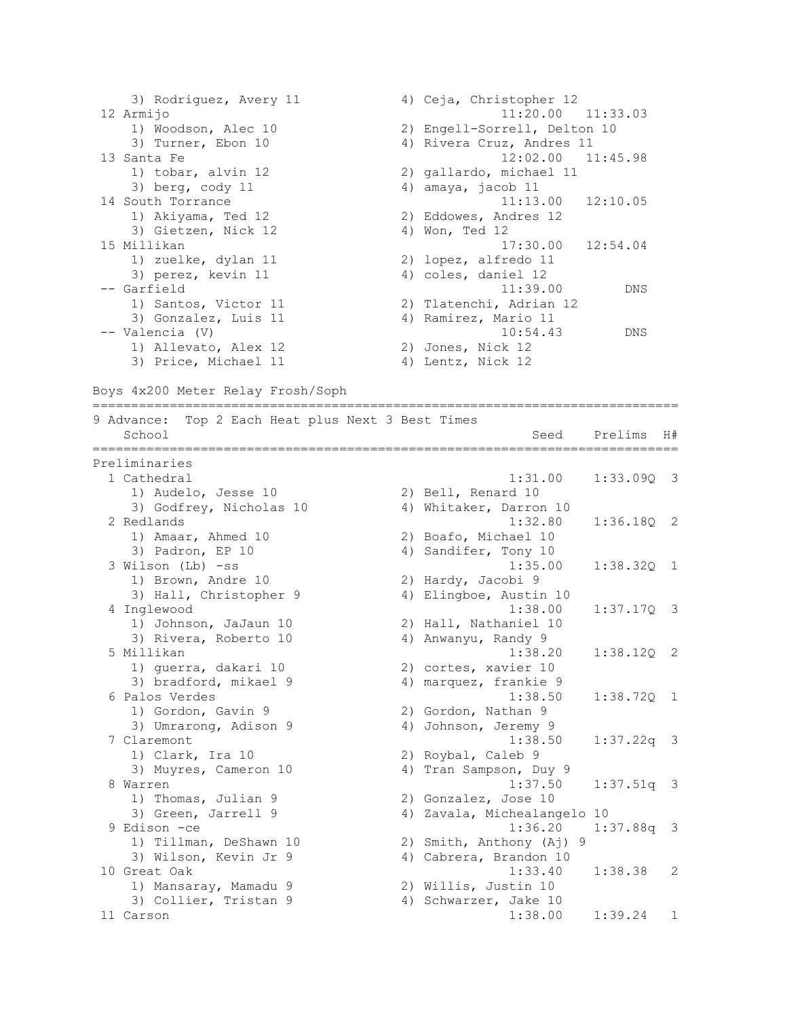| 4) Ceja, Christopher 12      |
|------------------------------|
| $11:20.00$ $11:33.03$        |
| 2) Engell-Sorrell, Delton 10 |
| 4) Rivera Cruz, Andres 11    |
| $12:02.00$ $11:45.98$        |
| 2) gallardo, michael 11      |
| 4) amaya, jacob 11           |
| $11:13.00$ $12:10.05$        |
| 2) Eddowes, Andres 12        |
| 4) Won, Ted 12               |
| $17:30.00$ $12:54.04$        |
| 2) lopez, alfredo 11         |
| 4) coles, daniel 12          |
| 11:39.00<br><b>DNS</b>       |
| 2) Tlatenchi, Adrian 12      |
| 4) Ramirez, Mario 11         |
| 10:54.43<br>DNS              |
| 2) Jones, Nick 12            |
| 4) Lentz, Nick 12            |
|                              |

Boys 4x200 Meter Relay Frosh/Soph

| Top 2 Each Heat plus Next 3 Best Times<br>9 Advance: |                                                     |              |                         |
|------------------------------------------------------|-----------------------------------------------------|--------------|-------------------------|
| School                                               | Seed                                                | Prelims      | H#                      |
| Preliminaries                                        |                                                     |              |                         |
| 1 Cathedral                                          | 1:31.00                                             | $1:33.090$ 3 |                         |
| 1) Audelo, Jesse 10                                  | 2) Bell, Renard 10                                  |              |                         |
| 3) Godfrey, Nicholas 10                              | 4) Whitaker, Darron 10                              |              |                         |
| 2 Redlands                                           | 1:32.80                                             | 1:36.180 2   |                         |
| 1) Amaar, Ahmed 10                                   | 2) Boafo, Michael 10                                |              |                         |
| 3) Padron, EP 10                                     | 4) Sandifer, Tony 10                                |              |                         |
| 3 Wilson (Lb) -ss                                    | 1:35.00                                             | $1:38.320$ 1 |                         |
| 1) Brown, Andre 10                                   | 2) Hardy, Jacobi 9                                  |              |                         |
| 3) Hall, Christopher 9                               | 4) Elingboe, Austin 10                              |              |                         |
| 4 Inglewood                                          | 1:38.00                                             | 1:37.17Q     | $\overline{\mathbf{3}}$ |
| 1) Johnson, JaJaun 10                                | 2) Hall, Nathaniel 10                               |              |                         |
| 3) Rivera, Roberto 10                                | 4) Anwanyu, Randy 9                                 |              |                         |
| 5 Millikan                                           | 1:38.20                                             | $1:38.120$ 2 |                         |
| 1) guerra, dakari 10                                 | 2) cortes, xavier 10                                |              |                         |
| 3) bradford, mikael 9                                | 4) marquez, frankie 9                               |              |                         |
| 6 Palos Verdes                                       | 1:38.50                                             | $1:38.72Q$ 1 |                         |
| 1) Gordon, Gavin 9                                   | 2) Gordon, Nathan 9                                 |              |                         |
| 3) Umrarong, Adison 9                                | 4) Johnson, Jeremy 9                                |              |                         |
| 7 Claremont                                          | 1:38.50                                             | $1:37.22q$ 3 |                         |
| 1) Clark, Ira 10                                     | 2) Roybal, Caleb 9                                  |              |                         |
| 3) Muyres, Cameron 10<br>8 Warren                    | 4) Tran Sampson, Duy 9<br>1:37.50                   |              |                         |
|                                                      |                                                     | $1:37.51q$ 3 |                         |
| 1) Thomas, Julian 9<br>3) Green, Jarrell 9           | 2) Gonzalez, Jose 10<br>4) Zavala, Michealangelo 10 |              |                         |
| 9 Edison -ce                                         | 1:36.20                                             | $1:37.88q$ 3 |                         |
| 1) Tillman, DeShawn 10                               | 2) Smith, Anthony (Aj) 9                            |              |                         |
| 3) Wilson, Kevin Jr 9                                | 4) Cabrera, Brandon 10                              |              |                         |
| 10 Great Oak                                         | 1:33.40                                             | 1:38.38      | 2                       |
| 1) Mansaray, Mamadu 9                                | 2) Willis, Justin 10                                |              |                         |
| 3) Collier, Tristan 9                                | 4) Schwarzer, Jake 10                               |              |                         |
| 11 Carson                                            | 1:38.00                                             | 1:39.24      | 1                       |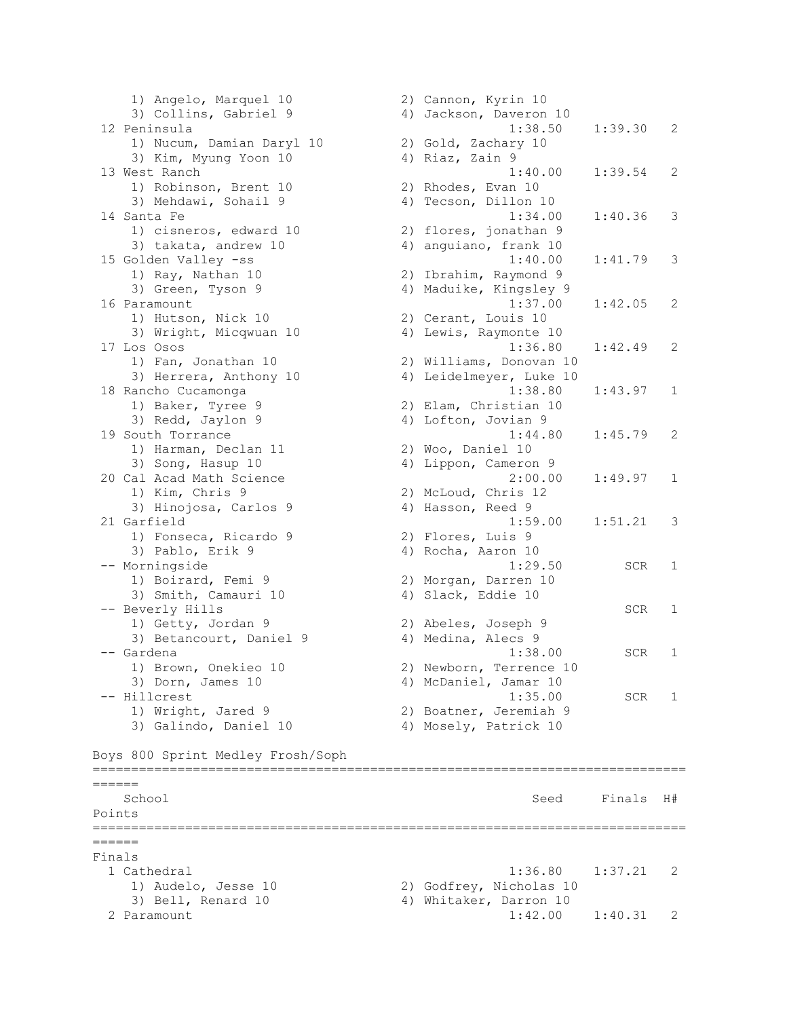1) Angelo, Marquel 10 2) Cannon, Kyrin 10 3) Collins, Gabriel 9 4) Jackson, Daveron 10 12 Peninsula 1:38.50 1:39.30 2 1) Nucum, Damian Daryl 10 2) Gold, Zachary 10 3) Kim, Myung Yoon 10 4) Riaz, Zain 9 13 West Ranch 1:40.00 1:39.54 2 1) Robinson, Brent 10 2) Rhodes, Evan 10 3) Mehdawi, Sohail 9 4) Tecson, Dillon 10 14 Santa Fe 1:34.00 1:40.36 3 1) cisneros, edward 10 2) flores, jonathan 9 3) takata, andrew 10 4) anguiano, frank 10 15 Golden Valley -ss 1:40.00 1:41.79 3 1) Ray, Nathan 10 2) Ibrahim, Raymond 9 3) Green, Tyson 9 4) Maduike, Kingsley 9 16 Paramount 1:37.00 1:42.05 2 1) Hutson, Nick 10 2) Cerant, Louis 10 3) Wright, Micqwuan 10 4) Lewis, Raymonte 10 17 Los Osos 1:36.80 1:42.49 2 1) Fan, Jonathan 10 2) Williams, Donovan 10 3) Herrera, Anthony 10 4) Leidelmeyer, Luke 10 18 Rancho Cucamonga 1:38.80 1:43.97 1 1) Baker, Tyree 9 2) Elam, Christian 10 3) Redd, Jaylon 9 4) Lofton, Jovian 9 19 South Torrance 1:44.80 1:45.79 2 1) Harman, Declan 11 2) Woo, Daniel 10 3) Song, Hasup 10 4) Lippon, Cameron 9 20 Cal Acad Math Science 2:00.00 1:49.97 1 1) Kim, Chris 9 2) McLoud, Chris 12 3) Hinojosa, Carlos 9 (4) Hasson, Reed 9 21 Garfield 1:59.00 1:51.21 3 1) Fonseca, Ricardo 9 2) Flores, Luis 9 3) Pablo, Erik 9 4) Rocha, Aaron 10 -- Morningside 1:29.50 SCR 1 1) Boirard, Femi 9 2) Morgan, Darren 10 3) Smith, Camauri 10 4) Slack, Eddie 10 -- Beverly Hills SCR 1 1) Getty, Jordan 9 2) Abeles, Joseph 9 3) Betancourt, Daniel 9 4) Medina, Alecs 9 -- Gardena 1:38.00 SCR 1 1) Brown, Onekieo 10 2) Newborn, Terrence 10 3) Dorn, James 10 4) McDaniel, Jamar 10 -- Hillcrest 1:35.00 SCR 1 1) Wright, Jared 9 2) Boatner, Jeremiah 9 3) Galindo, Daniel 10 4) Mosely, Patrick 10 Boys 800 Sprint Medley Frosh/Soph =============================================================================  $=$ School Seed Finals H# Points ============================================================================= ====== Finals 1 Cathedral 1:36.80 1:37.21 2 1) Audelo, Jesse 10 2) Godfrey, Nicholas 10 3) Bell, Renard 10 4) Whitaker, Darron 10 2 Paramount 1:42.00 1:40.31 2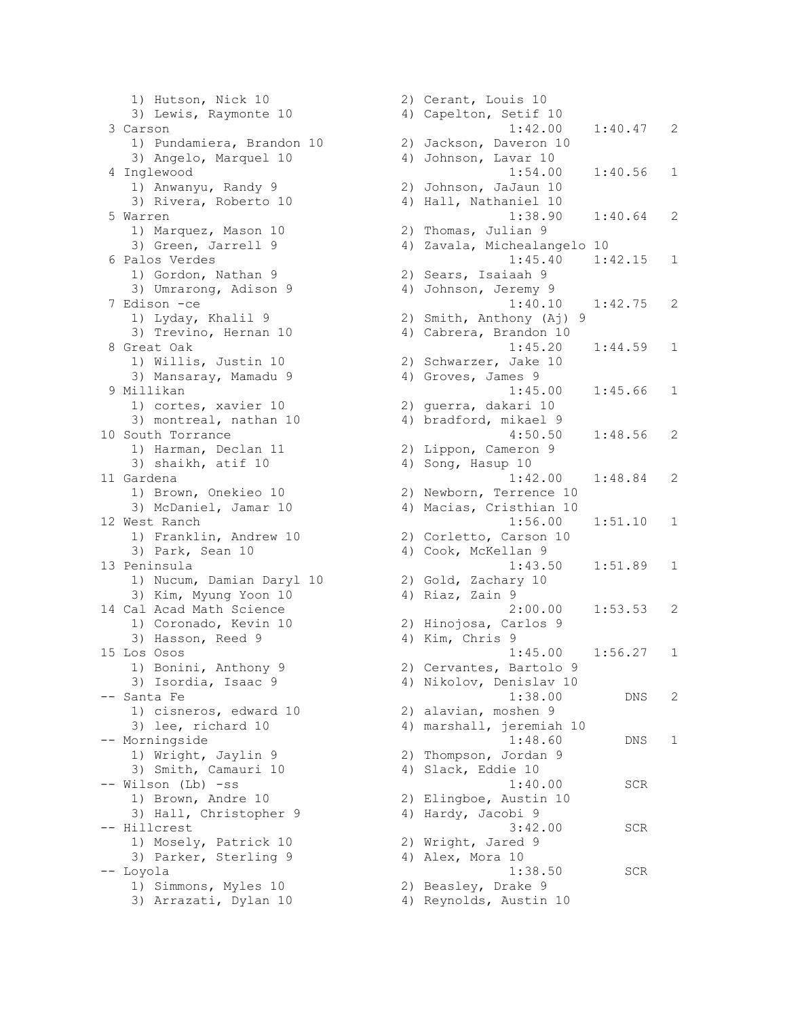1) Hutson, Nick 10 2) Cerant, Louis 10 3) Lewis, Raymonte 10 4) Capelton, Setif 10 1) Pundamiera, Brandon 10 2) Jackson, Daveron 10 3) Angelo, Marquel 10 4) Johnson, Lavar 10 1) Anwanyu, Randy 9 2) Johnson, JaJaun 10 3) Rivera, Roberto 10 (4) Hall, Nathaniel 10 1) Marquez, Mason 10 2) Thomas, Julian 9 3) Green, Jarrell 9 4) Zavala, Michealangelo 10 1) Gordon, Nathan 9 2) Sears, Isaiaah 9 3) Umrarong, Adison 9 4) Johnson, Jeremy 9 1) Lyday, Khalil 9 2) Smith, Anthony (Aj) 9 3) Trevino, Hernan 10 4) Cabrera, Brandon 10 1) Willis, Justin 10 2) Schwarzer, Jake 10 3) Mansaray, Mamadu 9 4) Groves, James 9 1) cortes, xavier 10 2) guerra, dakari 10 3) montreal, nathan 10 4) bradford, mikael 9 1) Harman, Declan 11 2) Lippon, Cameron 9 3) shaikh, atif 10 4) Song, Hasup 10 1) Brown, Onekieo 10 2) Newborn, Terrence 10 3) McDaniel, Jamar 10 4) Macias, Cristhian 10 1) Franklin, Andrew 10 2) Corletto, Carson 10 3) Park, Sean 10 4) Cook, McKellan 9 1) Nucum, Damian Daryl 10 2) Gold, Zachary 10 3) Kim, Myung Yoon 10 4) Riaz, Zain 9 1) Coronado, Kevin 10 2) Hinojosa, Carlos 9 3) Hasson, Reed 9 4) Kim, Chris 9 1) Bonini, Anthony 9 2) Cervantes, Bartolo 9 3) Isordia, Isaac 9 4) Nikolov, Denislav 10 1) cisneros, edward 10 2) alavian, moshen 9 3) lee, richard 10 4) marshall, jeremiah 10 1) Wright, Jaylin 9 2) Thompson, Jordan 9 3) Smith, Camauri 10 4) Slack, Eddie 10 1) Brown, Andre 10 2) Elingboe, Austin 10 3) Hall, Christopher 9 (4) Hardy, Jacobi 9 1) Mosely, Patrick 10 2) Wright, Jared 9 3) Parker, Sterling 9 4) Alex, Mora 10 1) Simmons, Myles 10 2) Beasley, Drake 9 3) Arrazati, Dylan 10 4) Reynolds, Austin 10

 3 Carson 1:42.00 1:40.47 2 4 Inglewood 1:54.00 1:40.56 1 5 Warren 1:38.90 1:40.64 2 6 Palos Verdes 1:45.40 1:42.15 1 7 Edison -ce 1:40.10 1:42.75 2 8 Great Oak 1:45.20 1:44.59 1 9 Millikan 1:45.00 1:45.66 1 10 South Torrance 4:50.50 1:48.56 2 11 Gardena 1:42.00 1:48.84 2 12 West Ranch 1:56.00 1:51.10 1 13 Peninsula 1:43.50 1:51.89 1 14 Cal Acad Math Science 2:00.00 1:53.53 2 15 Los Osos 1:45.00 1:56.27 1 -- Santa Fe 1:38.00 DNS 2 -- Morningside 1:48.60 DNS 1 -- Wilson (Lb) -ss 1:40.00 SCR -- Hillcrest 3:42.00 SCR -- Loyola 1:38.50 SCR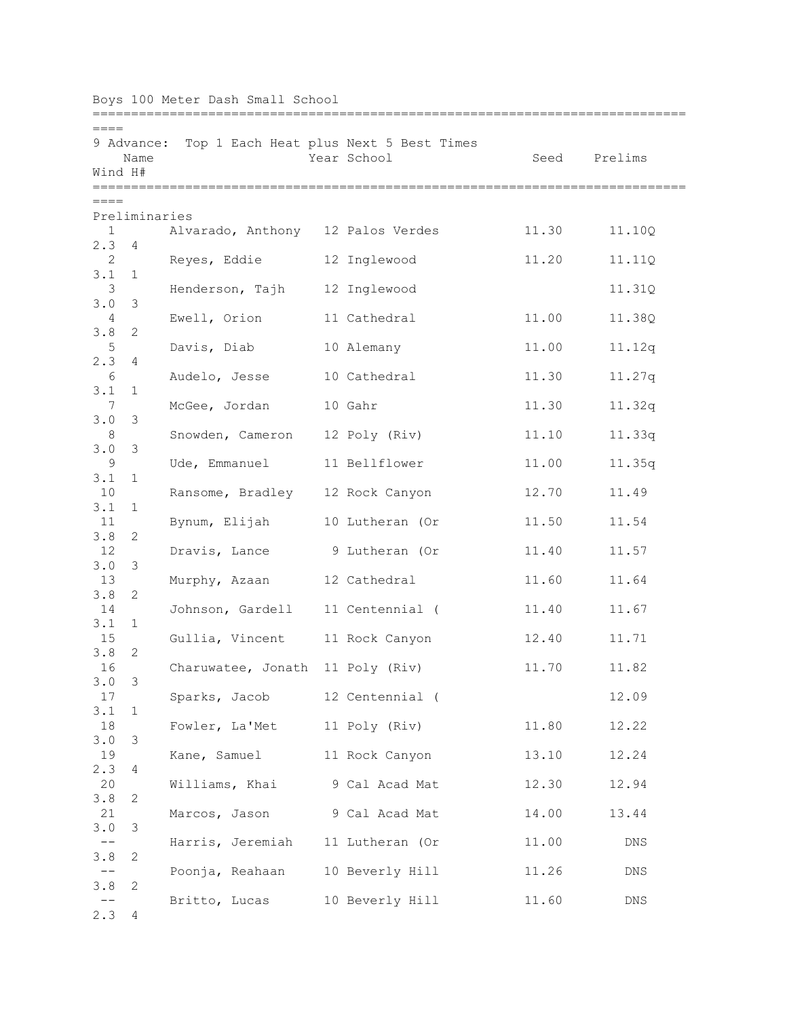| Boys 100 Meter Dash Small School |                         |                                   |  |                                                       |       |         |  |
|----------------------------------|-------------------------|-----------------------------------|--|-------------------------------------------------------|-------|---------|--|
| $====$<br>Wind H#                | 9 Advance:<br>Name      |                                   |  | Top 1 Each Heat plus Next 5 Best Times<br>Year School | Seed  | Prelims |  |
| $== == =$                        |                         |                                   |  |                                                       |       |         |  |
| $\mathbf{1}$                     | Preliminaries           | Alvarado, Anthony 12 Palos Verdes |  |                                                       | 11.30 | 11.10Q  |  |
| 2.3<br>2                         | 4                       | Reyes, Eddie                      |  | 12 Inglewood                                          | 11.20 | 11.11Q  |  |
| 3.1<br>3                         | 1                       | Henderson, Tajh                   |  | 12 Inglewood                                          |       | 11.31Q  |  |
| 3.0<br>4                         | 3                       | Ewell, Orion                      |  | 11 Cathedral                                          | 11.00 | 11.38Q  |  |
| 3.8                              | 2                       |                                   |  |                                                       |       |         |  |
| 5<br>2.3                         | 4                       | Davis, Diab                       |  | 10 Alemany                                            | 11.00 | 11.12q  |  |
| 6<br>3.1                         | 1                       | Audelo, Jesse                     |  | 10 Cathedral                                          | 11.30 | 11.27q  |  |
| 7<br>3.0                         | -3                      | McGee, Jordan                     |  | 10 Gahr                                               | 11.30 | 11.32q  |  |
| 8<br>3.0                         | 3                       | Snowden, Cameron                  |  | 12 Poly (Riv)                                         | 11.10 | 11.33q  |  |
| 9                                |                         | Ude, Emmanuel                     |  | 11 Bellflower                                         | 11.00 | 11.35q  |  |
| 3.1<br>10                        | $\mathbf{1}$            | Ransome, Bradley 12 Rock Canyon   |  |                                                       | 12.70 | 11.49   |  |
| 3.1<br>11                        | 1                       | Bynum, Elijah                     |  | 10 Lutheran (Or                                       | 11.50 | 11.54   |  |
| 3.8<br>12                        | 2                       | Dravis, Lance                     |  | 9 Lutheran (Or                                        | 11.40 | 11.57   |  |
| 3.0<br>13                        | 3                       | Murphy, Azaan                     |  | 12 Cathedral                                          | 11.60 | 11.64   |  |
| 3.8<br>14                        | 2                       | Johnson, Gardell                  |  | 11 Centennial (                                       | 11.40 | 11.67   |  |
| 3.1                              | $\mathbf{1}$            |                                   |  |                                                       |       |         |  |
| 15<br>3.8                        | 2                       | Gullia, Vincent 11 Rock Canyon    |  |                                                       | 12.40 | 11.71   |  |
| 16<br>3.0                        | -3                      | Charuwatee, Jonath 11 Poly (Riv)  |  |                                                       | 11.70 | 11.82   |  |
| 17<br>3.1                        | $\mathbf{1}$            | Sparks, Jacob 12 Centennial (     |  |                                                       |       | 12.09   |  |
| 18<br>3.0                        | $\overline{\mathbf{3}}$ | Fowler, La'Met 11 Poly (Riv)      |  |                                                       | 11.80 | 12.22   |  |
| 19                               |                         | Kane, Samuel 11 Rock Canyon       |  |                                                       | 13.10 | 12.24   |  |
| 2.3<br>20                        | 4                       | Williams, Khai 9 Cal Acad Mat     |  |                                                       | 12.30 | 12.94   |  |
| 3.8<br>21                        | 2                       | Marcos, Jason                     |  | 9 Cal Acad Mat                                        | 14.00 | 13.44   |  |
| 3.0<br>$- \, -$                  | 3                       | Harris, Jeremiah 11 Lutheran (Or  |  |                                                       | 11.00 | DNS     |  |
| 3.8<br>$--$                      | 2                       | Poonja, Reahaan 10 Beverly Hill   |  |                                                       | 11.26 | DNS     |  |
| 3.8                              | 2                       |                                   |  |                                                       |       |         |  |
| 2.3                              | 4                       | Britto, Lucas 10 Beverly Hill     |  |                                                       | 11.60 | DNS     |  |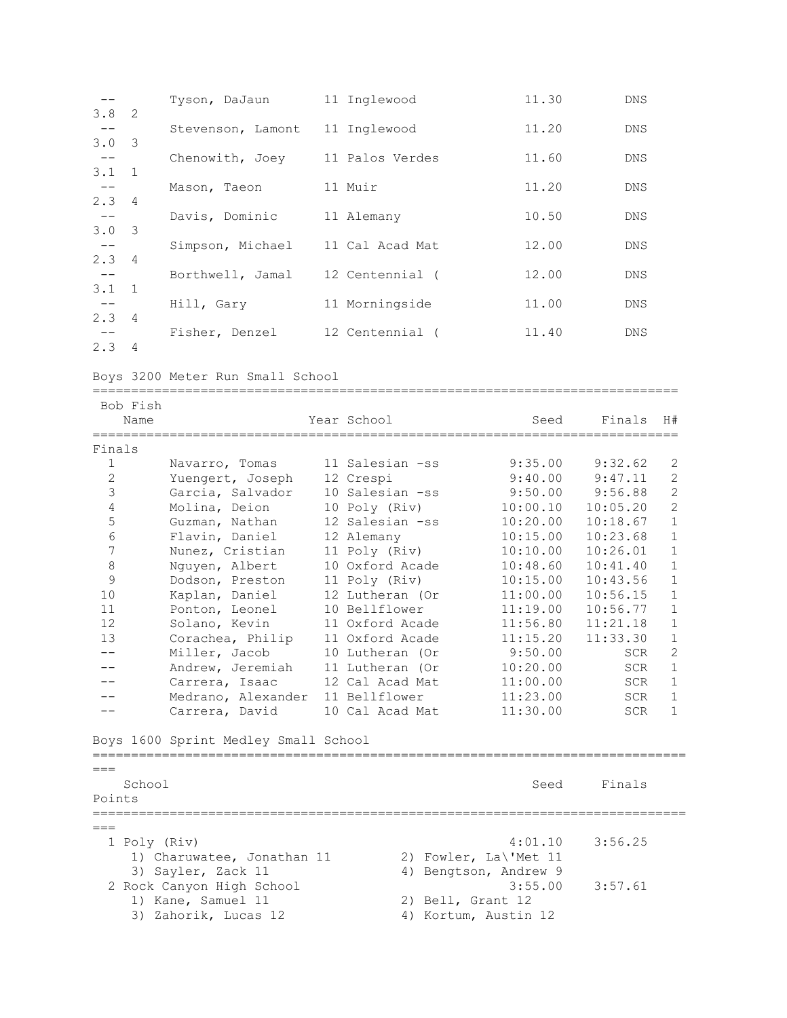|               |                | Tyson, DaJaun     | 11 Inglewood    | 11.30 | <b>DNS</b> |
|---------------|----------------|-------------------|-----------------|-------|------------|
| 3.8           | -2             |                   |                 |       |            |
|               |                | Stevenson, Lamont | 11 Inglewood    | 11.20 | DNS        |
| $3.0 \quad 3$ |                |                   |                 |       |            |
|               |                | Chenowith, Joey   | 11 Palos Verdes | 11.60 | <b>DNS</b> |
| $3.1 \quad 1$ |                |                   |                 |       |            |
|               |                | Mason, Taeon      | 11 Muir         | 11.20 | <b>DNS</b> |
| $2.3 \quad 4$ |                |                   |                 |       |            |
|               |                | Davis, Dominic    | 11 Alemany      | 10.50 | DNS        |
| $3.0 \quad 3$ |                |                   |                 |       |            |
|               |                | Simpson, Michael  | 11 Cal Acad Mat | 12.00 | <b>DNS</b> |
| 2.34          |                |                   |                 |       |            |
|               |                | Borthwell, Jamal  | 12 Centennial ( | 12.00 | <b>DNS</b> |
| $3.1 \quad 1$ |                |                   |                 |       |            |
|               |                | Hill, Gary        | 11 Morningside  | 11.00 | <b>DNS</b> |
| 2.3           | $\overline{4}$ |                   |                 |       |            |
|               |                | Fisher, Denzel    | 12 Centennial ( | 11.40 | <b>DNS</b> |
| 2.3           | $\overline{4}$ |                   |                 |       |            |

Boys 3200 Meter Run Small School

| Bob Fish<br>Name                                                                                    |                                                                                                                                                                                                                                                                                                                           | Year School                                                                                                                                                                                                                                                                                                | -------------------------------------<br>Seed                                                                                                                                                        | Finals                                                                                                                                                                                          | H#                                                                                                                                                                                                                                                         |
|-----------------------------------------------------------------------------------------------------|---------------------------------------------------------------------------------------------------------------------------------------------------------------------------------------------------------------------------------------------------------------------------------------------------------------------------|------------------------------------------------------------------------------------------------------------------------------------------------------------------------------------------------------------------------------------------------------------------------------------------------------------|------------------------------------------------------------------------------------------------------------------------------------------------------------------------------------------------------|-------------------------------------------------------------------------------------------------------------------------------------------------------------------------------------------------|------------------------------------------------------------------------------------------------------------------------------------------------------------------------------------------------------------------------------------------------------------|
| Finals<br>$\mathbf{1}$<br>$\overline{c}$<br>3<br>4<br>5<br>6<br>7<br>8<br>9<br>10<br>11<br>12<br>13 | Navarro, Tomas<br>Yuengert, Joseph<br>Garcia, Salvador<br>Molina, Deion<br>Guzman, Nathan<br>Flavin, Daniel<br>Nunez, Cristian<br>Nguyen, Albert<br>Dodson, Preston<br>Kaplan, Daniel<br>Ponton, Leonel<br>Solano, Kevin<br>Corachea, Philip<br>Miller, Jacob<br>Andrew, Jeremiah<br>Carrera, Isaac<br>Medrano, Alexander | 11 Salesian -ss<br>12 Crespi<br>10 Salesian -ss<br>10 Poly (Riv)<br>12 Salesian -ss<br>12 Alemany<br>11 Poly (Riv)<br>10 Oxford Acade<br>11 Poly (Riv)<br>12 Lutheran (Or<br>10 Bellflower<br>11 Oxford Acade<br>11 Oxford Acade<br>10 Lutheran (Or<br>11 Lutheran (Or<br>12 Cal Acad Mat<br>11 Bellflower | 9:35.00<br>9:40.00<br>9:50.00<br>10:00.10<br>10:20.00<br>10:15.00<br>10:10.00<br>10:48.60<br>10:15.00<br>11:00.00<br>11:19.00<br>11:56.80<br>11:15.20<br>9:50.00<br>10:20.00<br>11:00.00<br>11:23.00 | 9:32.62<br>9:47.11<br>9:56.88<br>10:05.20<br>10:18.67<br>10:23.68<br>10:26.01<br>10:41.40<br>10:43.56<br>10:56.15<br>10:56.77<br>11:21.18<br>11:33.30<br><b>SCR</b><br><b>SCR</b><br>SCR<br>SCR | $\overline{c}$<br>$\overline{c}$<br>$\overline{c}$<br>$\overline{c}$<br>$\mathbf{1}$<br>$\mathbf{1}$<br>$\mathbf{1}$<br>$\mathbf{1}$<br>$\mathbf{1}$<br>$\mathbf{1}$<br>$\mathbf{1}$<br>$1\,$<br>$1\,$<br>$\overline{c}$<br>$1\,$<br>$1\,$<br>$\mathbf{1}$ |
|                                                                                                     | Carrera, David<br>Boys 1600 Sprint Medley Small School                                                                                                                                                                                                                                                                    | 10 Cal Acad Mat                                                                                                                                                                                                                                                                                            | 11:30.00                                                                                                                                                                                             | <b>SCR</b>                                                                                                                                                                                      | $\mathbf{1}$                                                                                                                                                                                                                                               |
| $===$<br>School<br>Points                                                                           |                                                                                                                                                                                                                                                                                                                           |                                                                                                                                                                                                                                                                                                            | Seed                                                                                                                                                                                                 | Finals                                                                                                                                                                                          |                                                                                                                                                                                                                                                            |
| $===$<br>1 Poly (Riv)                                                                               | 1) Charuwatee, Jonathan 11<br>3) Sayler, Zack 11<br>2 Rock Canyon High School<br>1) Kane, Samuel 11<br>3) Zahorik, Lucas 12                                                                                                                                                                                               | 4)                                                                                                                                                                                                                                                                                                         | 4:01.10<br>2) Fowler, La\'Met 11<br>Bengtson, Andrew 9<br>3:55.00<br>2) Bell, Grant 12<br>4) Kortum, Austin 12                                                                                       | 3:56.25<br>3:57.61                                                                                                                                                                              |                                                                                                                                                                                                                                                            |